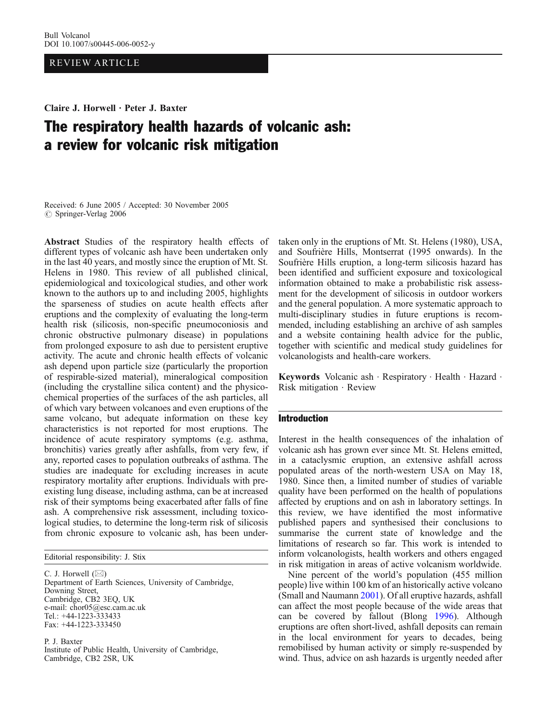# REVIEW ARTICLE

Claire J. Horwell . Peter J. Baxter

# The respiratory health hazards of volcanic ash: a review for volcanic risk mitigation

Received: 6 June 2005 / Accepted: 30 November 2005 *#* Springer-Verlag 2006

Abstract Studies of the respiratory health effects of different types of volcanic ash have been undertaken only in the last 40 years, and mostly since the eruption of Mt. St. Helens in 1980. This review of all published clinical, epidemiological and toxicological studies, and other work known to the authors up to and including 2005, highlights the sparseness of studies on acute health effects after eruptions and the complexity of evaluating the long-term health risk (silicosis, non-specific pneumoconiosis and chronic obstructive pulmonary disease) in populations from prolonged exposure to ash due to persistent eruptive activity. The acute and chronic health effects of volcanic ash depend upon particle size (particularly the proportion of respirable-sized material), mineralogical composition (including the crystalline silica content) and the physicochemical properties of the surfaces of the ash particles, all of which vary between volcanoes and even eruptions of the same volcano, but adequate information on these key characteristics is not reported for most eruptions. The incidence of acute respiratory symptoms (e.g. asthma, bronchitis) varies greatly after ashfalls, from very few, if any, reported cases to population outbreaks of asthma. The studies are inadequate for excluding increases in acute respiratory mortality after eruptions. Individuals with preexisting lung disease, including asthma, can be at increased risk of their symptoms being exacerbated after falls of fine ash. A comprehensive risk assessment, including toxicological studies, to determine the long-term risk of silicosis from chronic exposure to volcanic ash, has been under-

Editorial responsibility: J. Stix

C. J. Horwell  $(\boxtimes)$ Department of Earth Sciences, University of Cambridge, Downing Street, Cambridge, CB2 3EQ, UK e-mail: chor05@esc.cam.ac.uk Tel.: +44-1223-333433 Fax: +44-1223-333450

P. J. Baxter Institute of Public Health, University of Cambridge, Cambridge, CB2 2SR, UK

taken only in the eruptions of Mt. St. Helens (1980), USA, and Soufrière Hills, Montserrat (1995 onwards). In the Soufrière Hills eruption, a long-term silicosis hazard has been identified and sufficient exposure and toxicological information obtained to make a probabilistic risk assessment for the development of silicosis in outdoor workers and the general population. A more systematic approach to multi-disciplinary studies in future eruptions is recommended, including establishing an archive of ash samples and a website containing health advice for the public, together with scientific and medical study guidelines for volcanologists and health-care workers.

Keywords Volcanic ash · Respiratory · Health · Hazard · Risk mitigation . Review

#### Introduction

Interest in the health consequences of the inhalation of volcanic ash has grown ever since Mt. St. Helens emitted, in a cataclysmic eruption, an extensive ashfall across populated areas of the north-western USA on May 18, 1980. Since then, a limited number of studies of variable quality have been performed on the health of populations affected by eruptions and on ash in laboratory settings. In this review, we have identified the most informative published papers and synthesised their conclusions to summarise the current state of knowledge and the limitations of research so far. This work is intended to inform volcanologists, health workers and others engaged in risk mitigation in areas of active volcanism worldwide.

Nine percent of the world's population (455 million people) live within 100 km of an historically active volcano (Small and Naumann [2001\)](#page-22-0). Of all eruptive hazards, ashfall can affect the most people because of the wide areas that can be covered by fallout (Blong [1996](#page-20-0)). Although eruptions are often short-lived, ashfall deposits can remain in the local environment for years to decades, being remobilised by human activity or simply re-suspended by wind. Thus, advice on ash hazards is urgently needed after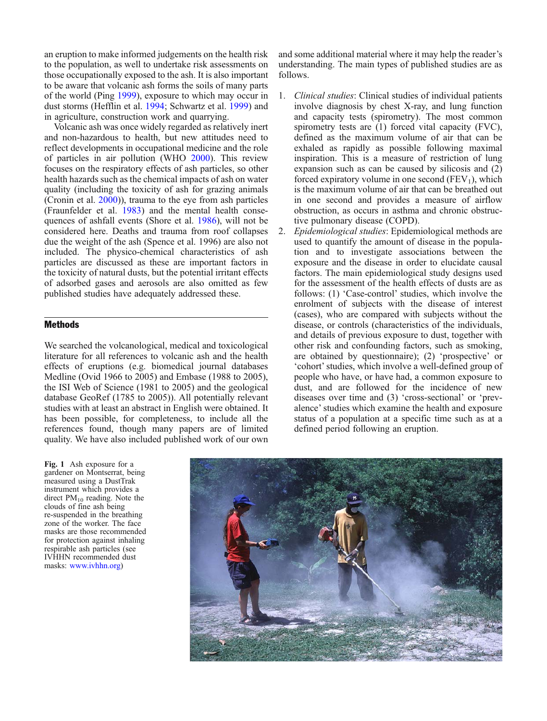<span id="page-1-0"></span>an eruption to make informed judgements on the health risk to the population, as well to undertake risk assessments on those occupationally exposed to the ash. It is also important to be aware that volcanic ash forms the soils of many parts of the world (Ping [1999\)](#page-22-0), exposure to which may occur in dust storms (Hefflin et al. [1994](#page-21-0); Schwartz et al. [1999\)](#page-22-0) and in agriculture, construction work and quarrying.

Volcanic ash was once widely regarded as relatively inert and non-hazardous to health, but new attitudes need to reflect developments in occupational medicine and the role of particles in air pollution (WHO [2000\)](#page-23-0). This review focuses on the respiratory effects of ash particles, so other health hazards such as the chemical impacts of ash on water quality (including the toxicity of ash for grazing animals (Cronin et al. [2000](#page-20-0))), trauma to the eye from ash particles (Fraunfelder et al. [1983\)](#page-21-0) and the mental health consequences of ashfall events (Shore et al. [1986\)](#page-22-0), will not be considered here. Deaths and trauma from roof collapses due the weight of the ash (Spence et al. 1996) are also not included. The physico-chemical characteristics of ash particles are discussed as these are important factors in the toxicity of natural dusts, but the potential irritant effects of adsorbed gases and aerosols are also omitted as few published studies have adequately addressed these.

## **Methods**

We searched the volcanological, medical and toxicological literature for all references to volcanic ash and the health effects of eruptions (e.g. biomedical journal databases Medline (Ovid 1966 to 2005) and Embase (1988 to 2005), the ISI Web of Science (1981 to 2005) and the geological database GeoRef (1785 to 2005)). All potentially relevant studies with at least an abstract in English were obtained. It has been possible, for completeness, to include all the references found, though many papers are of limited quality. We have also included published work of our own

Fig. 1 Ash exposure for a gardener on Montserrat, being measured using a DustTrak instrument which provides a direct PM<sub>10</sub> reading. Note the clouds of fine ash being re-suspended in the breathing zone of the worker. The face masks are those recommended for protection against inhaling respirable ash particles (see IVHHN recommended dust masks: [www.ivhhn.org](http://www.ivhhn.org))

and some additional material where it may help the reader's understanding. The main types of published studies are as follows.

- 1. Clinical studies: Clinical studies of individual patients involve diagnosis by chest X-ray, and lung function and capacity tests (spirometry). The most common spirometry tests are (1) forced vital capacity (FVC), defined as the maximum volume of air that can be exhaled as rapidly as possible following maximal inspiration. This is a measure of restriction of lung expansion such as can be caused by silicosis and (2) forced expiratory volume in one second  $(FEV_1)$ , which is the maximum volume of air that can be breathed out in one second and provides a measure of airflow obstruction, as occurs in asthma and chronic obstructive pulmonary disease (COPD).
- 2. Epidemiological studies: Epidemiological methods are used to quantify the amount of disease in the population and to investigate associations between the exposure and the disease in order to elucidate causal factors. The main epidemiological study designs used for the assessment of the health effects of dusts are as follows: (1) 'Case-control' studies, which involve the enrolment of subjects with the disease of interest (cases), who are compared with subjects without the disease, or controls (characteristics of the individuals, and details of previous exposure to dust, together with other risk and confounding factors, such as smoking, are obtained by questionnaire); (2) 'prospective' or 'cohort'studies, which involve a well-defined group of people who have, or have had, a common exposure to dust, and are followed for the incidence of new diseases over time and (3) 'cross-sectional' or 'prevalence' studies which examine the health and exposure status of a population at a specific time such as at a defined period following an eruption.

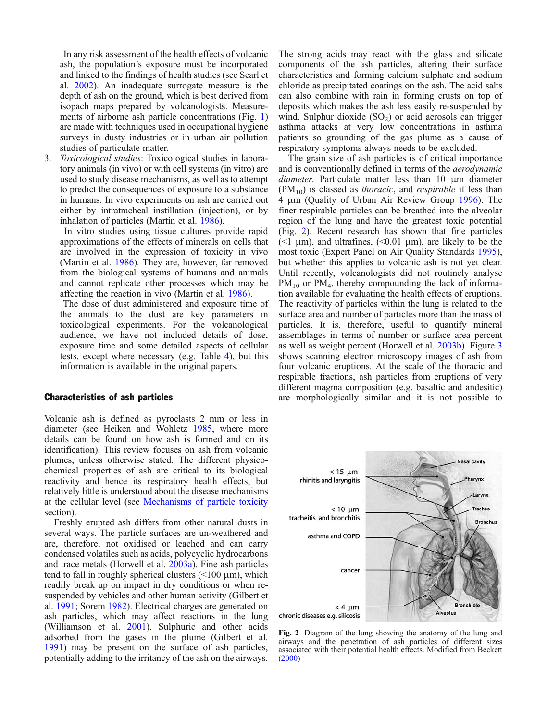In any risk assessment of the health effects of volcanic ash, the population's exposure must be incorporated and linked to the findings of health studies (see Searl et al. [2002\)](#page-22-0). An inadequate surrogate measure is the depth of ash on the ground, which is best derived from isopach maps prepared by volcanologists. Measurements of airborne ash particle concentrations (Fig. [1\)](#page-1-0) are made with techniques used in occupational hygiene surveys in dusty industries or in urban air pollution studies of particulate matter.

3. Toxicological studies: Toxicological studies in laboratory animals (in vivo) or with cell systems (in vitro) are used to study disease mechanisms, as well as to attempt to predict the consequences of exposure to a substance in humans. In vivo experiments on ash are carried out either by intratracheal instillation (injection), or by inhalation of particles (Martin et al. [1986\)](#page-22-0).

In vitro studies using tissue cultures provide rapid approximations of the effects of minerals on cells that are involved in the expression of toxicity in vivo (Martin et al. [1986\)](#page-22-0). They are, however, far removed from the biological systems of humans and animals and cannot replicate other processes which may be affecting the reaction in vivo (Martin et al. [1986](#page-22-0)).

The dose of dust administered and exposure time of the animals to the dust are key parameters in toxicological experiments. For the volcanological audience, we have not included details of dose, exposure time and some detailed aspects of cellular tests, except where necessary (e.g. Table [4\)](#page-10-0), but this information is available in the original papers.

# Characteristics of ash particles

Volcanic ash is defined as pyroclasts 2 mm or less in diameter (see Heiken and Wohletz [1985,](#page-21-0) where more details can be found on how ash is formed and on its identification). This review focuses on ash from volcanic plumes, unless otherwise stated. The different physicochemical properties of ash are critical to its biological reactivity and hence its respiratory health effects, but relatively little is understood about the disease mechanisms at the cellular level (see [Mechanisms of particle toxicity](#page-4-0) section).

Freshly erupted ash differs from other natural dusts in several ways. The particle surfaces are un-weathered and are, therefore, not oxidised or leached and can carry condensed volatiles such as acids, polycyclic hydrocarbons and trace metals (Horwell et al. [2003a](#page-21-0)). Fine ash particles tend to fall in roughly spherical clusters  $($ <100  $\mu$ m), which readily break up on impact in dry conditions or when resuspended by vehicles and other human activity (Gilbert et al. [1991;](#page-21-0) Sorem [1982](#page-22-0)). Electrical charges are generated on ash particles, which may affect reactions in the lung (Williamson et al. [2001](#page-23-0)). Sulphuric and other acids adsorbed from the gases in the plume (Gilbert et al. [1991](#page-21-0)) may be present on the surface of ash particles, potentially adding to the irritancy of the ash on the airways.

The strong acids may react with the glass and silicate components of the ash particles, altering their surface characteristics and forming calcium sulphate and sodium chloride as precipitated coatings on the ash. The acid salts can also combine with rain in forming crusts on top of deposits which makes the ash less easily re-suspended by wind. Sulphur dioxide  $(SO<sub>2</sub>)$  or acid aerosols can trigger asthma attacks at very low concentrations in asthma patients so grounding of the gas plume as a cause of respiratory symptoms always needs to be excluded.

The grain size of ash particles is of critical importance and is conventionally defined in terms of the aerodynamic diameter. Particulate matter less than 10 μm diameter  $(PM_{10})$  is classed as *thoracic*, and *respirable* if less than 4 μm (Quality of Urban Air Review Group [1996](#page-22-0)). The finer respirable particles can be breathed into the alveolar region of the lung and have the greatest toxic potential (Fig. 2). Recent research has shown that fine particles ( $\leq$ 1 μm), and ultrafines, ( $\leq$ 0.01 μm), are likely to be the most toxic (Expert Panel on Air Quality Standards [1995](#page-20-0)), but whether this applies to volcanic ash is not yet clear. Until recently, volcanologists did not routinely analyse  $PM_{10}$  or  $PM_{4}$ , thereby compounding the lack of information available for evaluating the health effects of eruptions. The reactivity of particles within the lung is related to the surface area and number of particles more than the mass of particles. It is, therefore, useful to quantify mineral assemblages in terms of number or surface area percent as well as weight percent (Horwell et al. [2003b\)](#page-21-0). Figure [3](#page-3-0) shows scanning electron microscopy images of ash from four volcanic eruptions. At the scale of the thoracic and respirable fractions, ash particles from eruptions of very different magma composition (e.g. basaltic and andesitic) are morphologically similar and it is not possible to



Fig. 2 Diagram of the lung showing the anatomy of the lung and airways and the penetration of ash particles of different sizes associated with their potential health effects. Modified from Beckett [\(2000](#page-20-0))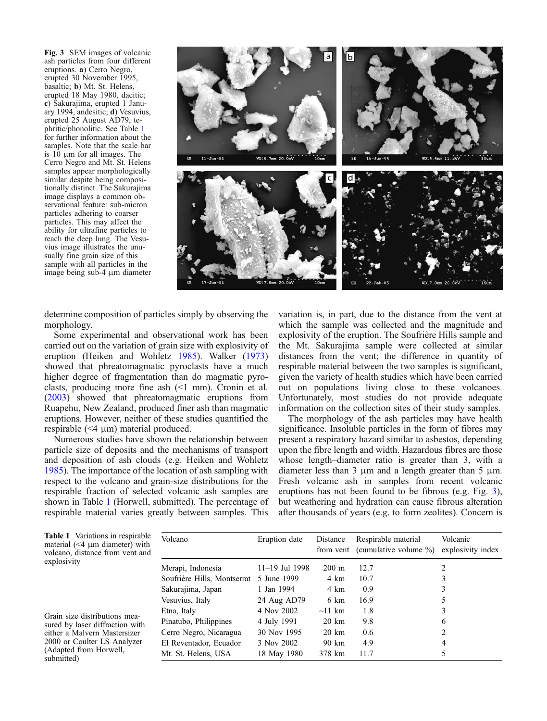<span id="page-3-0"></span>Fig. 3 SEM images of volcanic ash particles from four different eruptions. a) Cerro Negro, erupted 30 November 1995, basaltic; b) Mt. St. Helens, erupted 18 May 1980, dacitic; c) Sakurajima, erupted 1 January 1994, andesitic; d) Vesuvius, erupted 25 August AD79, tephritic/phonolitic. See Table 1 for further information about the samples. Note that the scale bar is  $10 \mu m$  for all images. The Cerro Negro and Mt. St. Helens samples appear morphologically similar despite being compositionally distinct. The Sakurajima image displays a common observational feature: sub-micron particles adhering to coarser particles. This may affect the ability for ultrafine particles to reach the deep lung. The Vesuvius image illustrates the unusually fine grain size of this sample with all particles in the image being sub-4 μm diameter



determine composition of particles simply by observing the morphology.

Some experimental and observational work has been carried out on the variation of grain size with explosivity of eruption (Heiken and Wohletz [1985\)](#page-21-0). Walker ([1973\)](#page-22-0) showed that phreatomagmatic pyroclasts have a much higher degree of fragmentation than do magmatic pyroclasts, producing more fine ash  $(\leq 1$  mm). Cronin et al. ([2003\)](#page-20-0) showed that phreatomagmatic eruptions from Ruapehu, New Zealand, produced finer ash than magmatic eruptions. However, neither of these studies quantified the respirable (<4 μm) material produced.

Numerous studies have shown the relationship between particle size of deposits and the mechanisms of transport and deposition of ash clouds (e.g. Heiken and Wohletz [1985](#page-21-0)). The importance of the location of ash sampling with respect to the volcano and grain-size distributions for the respirable fraction of selected volcanic ash samples are shown in Table 1 (Horwell, submitted). The percentage of respirable material varies greatly between samples. This

variation is, in part, due to the distance from the vent at which the sample was collected and the magnitude and explosivity of the eruption. The Soufrière Hills sample and the Mt. Sakurajima sample were collected at similar distances from the vent; the difference in quantity of respirable material between the two samples is significant, given the variety of health studies which have been carried out on populations living close to these volcanoes. Unfortunately, most studies do not provide adequate information on the collection sites of their study samples.

The morphology of the ash particles may have health significance. Insoluble particles in the form of fibres may present a respiratory hazard similar to asbestos, depending upon the fibre length and width. Hazardous fibres are those whose length–diameter ratio is greater than 3, with a diameter less than 3 μm and a length greater than 5 μm. Fresh volcanic ash in samples from recent volcanic eruptions has not been found to be fibrous (e.g. Fig. 3), but weathering and hydration can cause fibrous alteration after thousands of years (e.g. to form zeolites). Concern is

Table 1 Variations in respirable material  $($   $<$ 4  $\mu$ m diameter) with volcano, distance from vent and explosivity

Grain size distributions measured by laser diffraction with either a Malvern Mastersizer 2000 or Coulter LS Analyzer (Adapted from Horwell, submitted)

| Volcano                     | Eruption date  | Distance        | Respirable material<br>from vent (cumulative volume $\%$ ) | Volcanic<br>explosivity index |
|-----------------------------|----------------|-----------------|------------------------------------------------------------|-------------------------------|
| Merapi, Indonesia           | 11-19 Jul 1998 | $200 \text{ m}$ | 12.7                                                       | 2                             |
| Soufrière Hills, Montserrat | 5 June 1999    | 4 km            | 10.7                                                       | 3                             |
| Sakurajima, Japan           | 1 Jan 1994     | 4 km            | 0.9                                                        | 3                             |
| Vesuvius, Italy             | 24 Aug AD79    | 6 km            | 16.9                                                       | 5                             |
| Etna, Italy                 | 4 Nov 2002     | $\sim$ 11 km    | 1.8                                                        | 3                             |
| Pinatubo, Philippines       | 4 July 1991    | $20 \text{ km}$ | 9.8                                                        | 6                             |
| Cerro Negro, Nicaragua      | 30 Nov 1995    | $20 \text{ km}$ | 0.6                                                        | 2                             |
| El Reventador, Ecuador      | 3 Nov 2002     | 90 km           | 4.9                                                        | 4                             |
| Mt. St. Helens, USA         | 18 May 1980    | 378 km          | 11.7                                                       | 5                             |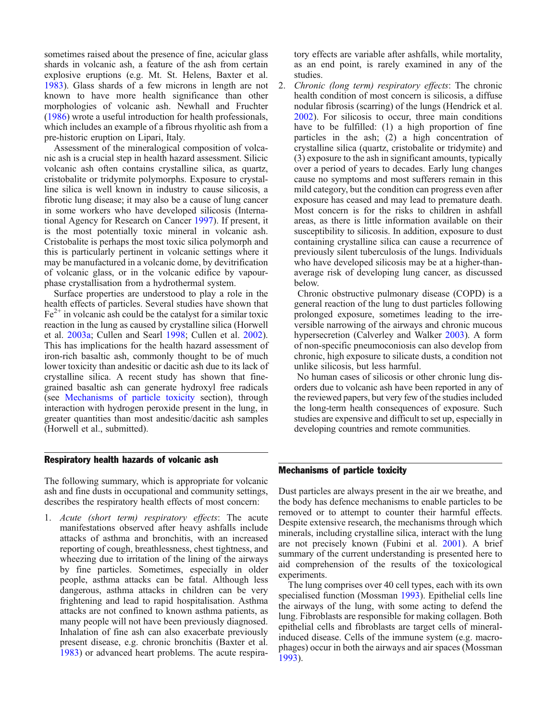<span id="page-4-0"></span>sometimes raised about the presence of fine, acicular glass shards in volcanic ash, a feature of the ash from certain explosive eruptions (e.g. Mt. St. Helens, Baxter et al. [1983](#page-20-0)). Glass shards of a few microns in length are not known to have more health significance than other morphologies of volcanic ash. Newhall and Fruchter ([1986\)](#page-22-0) wrote a useful introduction for health professionals, which includes an example of a fibrous rhyolitic ash from a pre-historic eruption on Lipari, Italy.

Assessment of the mineralogical composition of volcanic ash is a crucial step in health hazard assessment. Silicic volcanic ash often contains crystalline silica, as quartz, cristobalite or tridymite polymorphs. Exposure to crystalline silica is well known in industry to cause silicosis, a fibrotic lung disease; it may also be a cause of lung cancer in some workers who have developed silicosis (International Agency for Research on Cancer [1997](#page-22-0)). If present, it is the most potentially toxic mineral in volcanic ash. Cristobalite is perhaps the most toxic silica polymorph and this is particularly pertinent in volcanic settings where it may be manufactured in a volcanic dome, by devitrification of volcanic glass, or in the volcanic edifice by vapourphase crystallisation from a hydrothermal system.

Surface properties are understood to play a role in the health effects of particles. Several studies have shown that  $Fe<sup>2+</sup>$  in volcanic ash could be the catalyst for a similar toxic reaction in the lung as caused by crystalline silica (Horwell et al. [2003a;](#page-21-0) Cullen and Searl [1998;](#page-20-0) Cullen et al. [2002\)](#page-20-0). This has implications for the health hazard assessment of iron-rich basaltic ash, commonly thought to be of much lower toxicity than andesitic or dacitic ash due to its lack of crystalline silica. A recent study has shown that finegrained basaltic ash can generate hydroxyl free radicals (see Mechanisms of particle toxicity section), through interaction with hydrogen peroxide present in the lung, in greater quantities than most andesitic/dacitic ash samples (Horwell et al., submitted).

# Respiratory health hazards of volcanic ash

The following summary, which is appropriate for volcanic ash and fine dusts in occupational and community settings, describes the respiratory health effects of most concern:

1. Acute (short term) respiratory effects: The acute manifestations observed after heavy ashfalls include attacks of asthma and bronchitis, with an increased reporting of cough, breathlessness, chest tightness, and wheezing due to irritation of the lining of the airways by fine particles. Sometimes, especially in older people, asthma attacks can be fatal. Although less dangerous, asthma attacks in children can be very frightening and lead to rapid hospitalisation. Asthma attacks are not confined to known asthma patients, as many people will not have been previously diagnosed. Inhalation of fine ash can also exacerbate previously present disease, e.g. chronic bronchitis (Baxter et al. [1983](#page-20-0)) or advanced heart problems. The acute respiratory effects are variable after ashfalls, while mortality, as an end point, is rarely examined in any of the studies.

2. Chronic (long term) respiratory effects: The chronic health condition of most concern is silicosis, a diffuse nodular fibrosis (scarring) of the lungs (Hendrick et al. [2002](#page-21-0)). For silicosis to occur, three main conditions have to be fulfilled: (1) a high proportion of fine particles in the ash; (2) a high concentration of crystalline silica (quartz, cristobalite or tridymite) and (3) exposure to the ash in significant amounts, typically over a period of years to decades. Early lung changes cause no symptoms and most sufferers remain in this mild category, but the condition can progress even after exposure has ceased and may lead to premature death. Most concern is for the risks to children in ashfall areas, as there is little information available on their susceptibility to silicosis. In addition, exposure to dust containing crystalline silica can cause a recurrence of previously silent tuberculosis of the lungs. Individuals who have developed silicosis may be at a higher-thanaverage risk of developing lung cancer, as discussed below.

Chronic obstructive pulmonary disease (COPD) is a general reaction of the lung to dust particles following prolonged exposure, sometimes leading to the irreversible narrowing of the airways and chronic mucous hypersecretion (Calverley and Walker [2003\)](#page-20-0). A form of non-specific pneumoconiosis can also develop from chronic, high exposure to silicate dusts, a condition not unlike silicosis, but less harmful.

No human cases of silicosis or other chronic lung disorders due to volcanic ash have been reported in any of the reviewed papers, but very few of the studies included the long-term health consequences of exposure. Such studies are expensive and difficult to set up, especially in developing countries and remote communities.

# Mechanisms of particle toxicity

Dust particles are always present in the air we breathe, and the body has defence mechanisms to enable particles to be removed or to attempt to counter their harmful effects. Despite extensive research, the mechanisms through which minerals, including crystalline silica, interact with the lung are not precisely known (Fubini et al. [2001\)](#page-21-0). A brief summary of the current understanding is presented here to aid comprehension of the results of the toxicological experiments.

The lung comprises over 40 cell types, each with its own specialised function (Mossman [1993](#page-22-0)). Epithelial cells line the airways of the lung, with some acting to defend the lung. Fibroblasts are responsible for making collagen. Both epithelial cells and fibroblasts are target cells of mineralinduced disease. Cells of the immune system (e.g. macrophages) occur in both the airways and air spaces (Mossman [1993](#page-22-0)).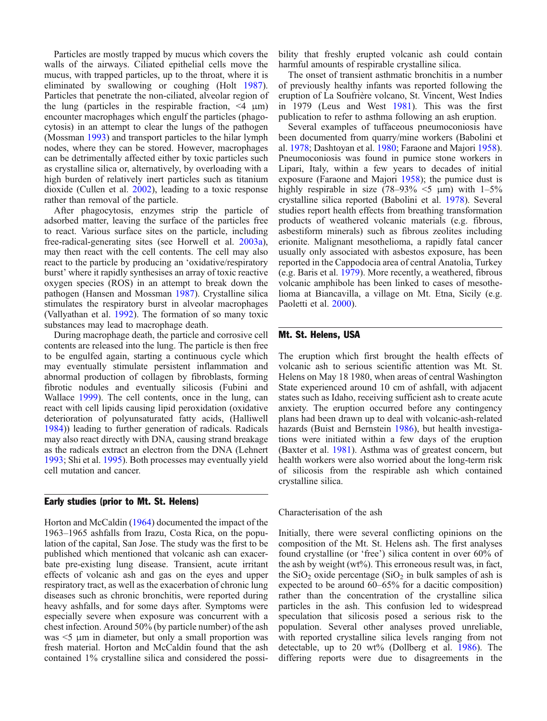Particles are mostly trapped by mucus which covers the walls of the airways. Ciliated epithelial cells move the mucus, with trapped particles, up to the throat, where it is eliminated by swallowing or coughing (Holt [1987\)](#page-21-0). Particles that penetrate the non-ciliated, alveolar region of the lung (particles in the respirable fraction,  $\leq 4 \mu m$ ) encounter macrophages which engulf the particles (phagocytosis) in an attempt to clear the lungs of the pathogen (Mossman [1993\)](#page-22-0) and transport particles to the hilar lymph nodes, where they can be stored. However, macrophages can be detrimentally affected either by toxic particles such as crystalline silica or, alternatively, by overloading with a high burden of relatively inert particles such as titanium dioxide (Cullen et al. [2002](#page-20-0)), leading to a toxic response rather than removal of the particle.

After phagocytosis, enzymes strip the particle of adsorbed matter, leaving the surface of the particles free to react. Various surface sites on the particle, including free-radical-generating sites (see Horwell et al. [2003a\)](#page-21-0), may then react with the cell contents. The cell may also react to the particle by producing an 'oxidative/respiratory burst' where it rapidly synthesises an array of toxic reactive oxygen species (ROS) in an attempt to break down the pathogen (Hansen and Mossman [1987\)](#page-21-0). Crystalline silica stimulates the respiratory burst in alveolar macrophages (Vallyathan et al. [1992](#page-22-0)). The formation of so many toxic substances may lead to macrophage death.

During macrophage death, the particle and corrosive cell contents are released into the lung. The particle is then free to be engulfed again, starting a continuous cycle which may eventually stimulate persistent inflammation and abnormal production of collagen by fibroblasts, forming fibrotic nodules and eventually silicosis (Fubini and Wallace [1999\)](#page-21-0). The cell contents, once in the lung, can react with cell lipids causing lipid peroxidation (oxidative deterioration of polyunsaturated fatty acids, (Halliwell [1984](#page-21-0))) leading to further generation of radicals. Radicals may also react directly with DNA, causing strand breakage as the radicals extract an electron from the DNA (Lehnert [1993](#page-22-0); Shi et al. [1995](#page-22-0)). Both processes may eventually yield cell mutation and cancer.

#### Early studies (prior to Mt. St. Helens)

Horton and McCaldin [\(1964\)](#page-21-0) documented the impact of the 1963–1965 ashfalls from Irazu, Costa Rica, on the population of the capital, San Jose. The study was the first to be published which mentioned that volcanic ash can exacerbate pre-existing lung disease. Transient, acute irritant effects of volcanic ash and gas on the eyes and upper respiratory tract, as well as the exacerbation of chronic lung diseases such as chronic bronchitis, were reported during heavy ashfalls, and for some days after. Symptoms were especially severe when exposure was concurrent with a chest infection. Around 50% (by particle number) of the ash was <5 μm in diameter, but only a small proportion was fresh material. Horton and McCaldin found that the ash contained 1% crystalline silica and considered the possibility that freshly erupted volcanic ash could contain harmful amounts of respirable crystalline silica.

The onset of transient asthmatic bronchitis in a number of previously healthy infants was reported following the eruption of La Soufrière volcano, St. Vincent, West Indies in 1979 (Leus and West [1981](#page-22-0)). This was the first publication to refer to asthma following an ash eruption.

Several examples of tuffaceous pneumoconiosis have been documented from quarry/mine workers (Babolini et al. [1978;](#page-19-0) Dashtoyan et al. [1980;](#page-20-0) Faraone and Majori [1958](#page-20-0)). Pneumoconiosis was found in pumice stone workers in Lipari, Italy, within a few years to decades of initial exposure (Faraone and Majori [1958\)](#page-20-0); the pumice dust is highly respirable in size  $(78-93\% \leq 5 \text{ }\mu\text{m})$  with  $1-5\%$ crystalline silica reported (Babolini et al. [1978\)](#page-19-0). Several studies report health effects from breathing transformation products of weathered volcanic materials (e.g. fibrous, asbestiform minerals) such as fibrous zeolites including erionite. Malignant mesothelioma, a rapidly fatal cancer usually only associated with asbestos exposure, has been reported in the Cappodocia area of central Anatolia, Turkey (e.g. Baris et al. [1979\)](#page-20-0). More recently, a weathered, fibrous volcanic amphibole has been linked to cases of mesothelioma at Biancavilla, a village on Mt. Etna, Sicily (e.g. Paoletti et al. [2000\)](#page-22-0).

# Mt. St. Helens, USA

The eruption which first brought the health effects of volcanic ash to serious scientific attention was Mt. St. Helens on May 18 1980, when areas of central Washington State experienced around 10 cm of ashfall, with adjacent states such as Idaho, receiving sufficient ash to create acute anxiety. The eruption occurred before any contingency plans had been drawn up to deal with volcanic-ash-related hazards (Buist and Bernstein [1986\)](#page-20-0), but health investigations were initiated within a few days of the eruption (Baxter et al. [1981\)](#page-20-0). Asthma was of greatest concern, but health workers were also worried about the long-term risk of silicosis from the respirable ash which contained crystalline silica.

Characterisation of the ash

Initially, there were several conflicting opinions on the composition of the Mt. St. Helens ash. The first analyses found crystalline (or 'free') silica content in over 60% of the ash by weight ( $wt\%$ ). This erroneous result was, in fact, the  $SiO<sub>2</sub>$  oxide percentage  $(SiO<sub>2</sub>$  in bulk samples of ash is expected to be around 60–65% for a dacitic composition) rather than the concentration of the crystalline silica particles in the ash. This confusion led to widespread speculation that silicosis posed a serious risk to the population. Several other analyses proved unreliable, with reported crystalline silica levels ranging from not detectable, up to 20 wt% (Dollberg et al. [1986](#page-20-0)). The differing reports were due to disagreements in the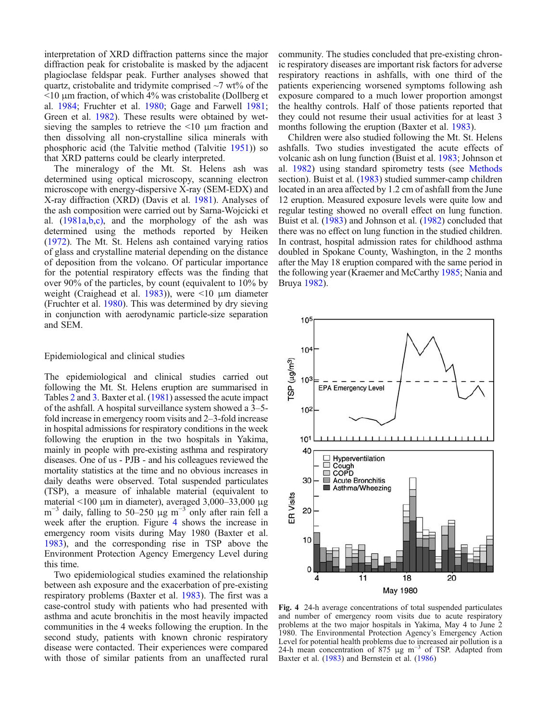interpretation of XRD diffraction patterns since the major diffraction peak for cristobalite is masked by the adjacent plagioclase feldspar peak. Further analyses showed that quartz, cristobalite and tridymite comprised  $\sim$ 7 wt% of the  $\leq$ 10 μm fraction, of which 4% was cristobalite (Dollberg et al. [1984;](#page-20-0) Fruchter et al. [1980](#page-21-0); Gage and Farwell [1981](#page-21-0); Green et al. [1982](#page-21-0)). These results were obtained by wetsieving the samples to retrieve the <10 μm fraction and then dissolving all non-crystalline silica minerals with phosphoric acid (the Talvitie method (Talvitie [1951\)](#page-22-0)) so that XRD patterns could be clearly interpreted.

The mineralogy of the Mt. St. Helens ash was determined using optical microscopy, scanning electron microscope with energy-dispersive X-ray (SEM-EDX) and X-ray diffraction (XRD) (Davis et al. [1981](#page-20-0)). Analyses of the ash composition were carried out by Sarna-Wojcicki et al. [\(1981a,b,c\)](#page-22-0), and the morphology of the ash was determined using the methods reported by Heiken ([1972\)](#page-21-0). The Mt. St. Helens ash contained varying ratios of glass and crystalline material depending on the distance of deposition from the volcano. Of particular importance for the potential respiratory effects was the finding that over 90% of the particles, by count (equivalent to 10% by weight (Craighead et al. [1983](#page-20-0))), were <10 μm diameter (Fruchter et al. [1980](#page-21-0)). This was determined by dry sieving in conjunction with aerodynamic particle-size separation and SEM.

#### Epidemiological and clinical studies

The epidemiological and clinical studies carried out following the Mt. St. Helens eruption are summarised in Tables [2](#page-7-0) and [3.](#page-9-0) Baxter et al. [\(1981\)](#page-20-0) assessed the acute impact of the ashfall. A hospital surveillance system showed a 3–5 fold increase in emergency room visits and 2–3-fold increase in hospital admissions for respiratory conditions in the week following the eruption in the two hospitals in Yakima, mainly in people with pre-existing asthma and respiratory diseases. One of us - PJB - and his colleagues reviewed the mortality statistics at the time and no obvious increases in daily deaths were observed. Total suspended particulates (TSP), a measure of inhalable material (equivalent to material <100 μm in diameter), averaged 3,000–33,000 μg m<sup>-3</sup> daily, falling to 50–250  $\mu$ g m<sup>-3</sup> only after rain fell a week after the eruption. Figure 4 shows the increase in emergency room visits during May 1980 (Baxter et al. [1983\)](#page-20-0), and the corresponding rise in TSP above the Environment Protection Agency Emergency Level during this time.

Two epidemiological studies examined the relationship between ash exposure and the exacerbation of pre-existing respiratory problems (Baxter et al. [1983](#page-20-0)). The first was a case-control study with patients who had presented with asthma and acute bronchitis in the most heavily impacted communities in the 4 weeks following the eruption. In the second study, patients with known chronic respiratory disease were contacted. Their experiences were compared with those of similar patients from an unaffected rural

community. The studies concluded that pre-existing chronic respiratory diseases are important risk factors for adverse respiratory reactions in ashfalls, with one third of the patients experiencing worsened symptoms following ash exposure compared to a much lower proportion amongst the healthy controls. Half of those patients reported that they could not resume their usual activities for at least 3 months following the eruption (Baxter et al. [1983\)](#page-20-0).

Children were also studied following the Mt. St. Helens ashfalls. Two studies investigated the acute effects of volcanic ash on lung function (Buist et al. [1983;](#page-20-0) Johnson et al. [1982](#page-22-0)) using standard spirometry tests (see [Methods](#page-1-0) section). Buist et al. ([1983\)](#page-20-0) studied summer-camp children located in an area affected by 1.2 cm of ashfall from the June 12 eruption. Measured exposure levels were quite low and regular testing showed no overall effect on lung function. Buist et al. ([1983](#page-20-0)) and Johnson et al. [\(1982\)](#page-22-0) concluded that there was no effect on lung function in the studied children. In contrast, hospital admission rates for childhood asthma doubled in Spokane County, Washington, in the 2 months after the May 18 eruption compared with the same period in the following year (Kraemer and McCarthy [1985;](#page-22-0) Nania and Bruya [1982\)](#page-22-0).



Fig. 4 24-h average concentrations of total suspended particulates and number of emergency room visits due to acute respiratory problems at the two major hospitals in Yakima, May 4 to June 2 1980. The Environmental Protection Agency's Emergency Action Level for potential health problems due to increased air pollution is a 24-h mean concentration of 875  $\mu$ g m<sup>-3</sup> of TSP. Adapted from Baxter et al. ([1983\)](#page-20-0) and Bernstein et al. [\(1986](#page-20-0))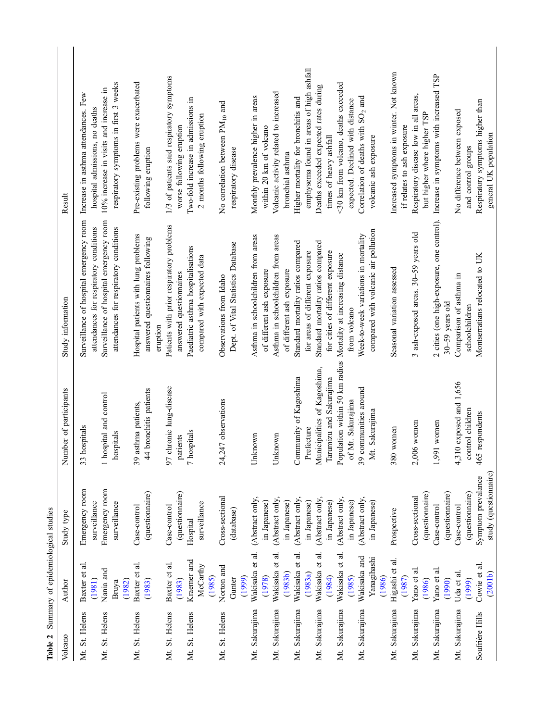<span id="page-7-0"></span>

| Table 2         | Summary of epidemiological studies    |                                             |                                                         |                                                                                       |                                                                                 |
|-----------------|---------------------------------------|---------------------------------------------|---------------------------------------------------------|---------------------------------------------------------------------------------------|---------------------------------------------------------------------------------|
| Volcano         | Author                                | Study type                                  | Number of participants                                  | Study information                                                                     | Result                                                                          |
| Mt. St. Helens  | ನ<br>Baxter et<br>(1981)              | Emergency room<br>surveillance              | hospitals<br>33                                         | Surveillance of hospital emergency room<br>attendances for respiratory conditions     | Increase in asthma attendances. Few<br>hospital admissions, no deaths           |
| Mt. St. Helens  | Nania and<br>(1982)<br>Bruya          | Emergency room<br>surveillance              | 1 hospital and control<br>hospitals                     | Surveillance of hospital emergency room<br>attendances for respiratory conditions     | respiratory symptoms in first 3 weeks<br>10% increase in visits and increase in |
| Mt. St. Helens  | ನ.<br>Baxter et<br>(1983)             | (questionnaire)<br>Case-control             | 44 bronchitis patients<br>39 asthma patients,           | Hospital patients with lung problems<br>answered questionnaires following<br>eruption | Pre-existing problems were exacerbated<br>following eruption                    |
| Mt. St. Helens  | Baxter et al.<br>(1983)               | (questionnaire)<br>Case-control             | 97 chronic lung-disease<br>patients                     | Patients with prior respiratory problems<br>answered questionnaires                   | 1/3 of patients said respiratory symptoms<br>worse following eruption           |
| Mt. St. Helens  | Kraemer and<br>McCarthy<br>(1985)     | surveillance<br>Hospital                    | 7 hospitals                                             | Paediatric asthma hospitalisations<br>compared with expected data                     | Two-fold increase in admissions in<br>2 months following eruption               |
| Mt. St. Helens  | Norton and<br>(1999)<br>Gunter        | Cross-sectional<br>(database)               | 24,247 observations                                     | Dept. of Vital Statistics Database<br>Observations from Idaho                         | No correlation between PM <sub>10</sub> and<br>respiratory disease              |
| Mt. Sakurajima  | Wakisaka et al.<br>(1978)             | (Abstract only,<br>in Japanese)             | Unknown                                                 | Asthma in schoolchildren from areas<br>of different ash exposure                      | Monthly prevalence higher in areas<br>within 20 km of volcano                   |
| Mt. Sakurajima  | et al.<br>Wakisaka<br>(1983b)         | (Abstract only,<br>in Japanese)             | Unknown                                                 | Asthma in schoolchildren from areas<br>of different ash exposure                      | Volcanic activity related to increased<br>bronchial asthma                      |
| Mt. Sakurajima  | Wakisaka et al.<br>(1983a)            | (Abstract only,<br>in Japanese)             | Community of Kagoshima<br>Prefecture                    | Standard mortality ratios compared<br>for areas of different exposure                 | emphysema found in areas of high ashfall<br>Higher mortality for bronchitis and |
| Mt. Sakurajima  | Wakisaka et al.<br>(1984)             | (Abstract only,<br>in Japanese)             | Municipalities of Kagoshima,<br>Tarumizu and Sakurajima | Standard mortality ratios compared<br>for cities of different exposure                | Deaths exceeded expected rates during<br>times of heavy ashfall                 |
| Mt. Sakurajima  | Wakisaka et al.<br>(1985)             | (Abstract only,<br>in Japanese)             | Population within 50 km radius<br>of Mt. Sakurajima     | Mortality at increasing distance<br>from volcano                                      | <30 km from volcano, deaths exceeded<br>expected. Declined with distance        |
| Mt. Sakurajima  | Wakisaka and<br>Yanagihashi<br>(1986) | (Abstract only,<br>in Japanese)             | 39 communities around<br>Mt. Sakurajima                 | compared with volcanic air pollution<br>Week-to-week variations in mortality          | Correlation of deaths with SO <sub>2</sub> and<br>volcanic ash exposure         |
| Mt. Sakurajima  | Higashi et al.<br>(1987)              | Prospective                                 | women<br>380                                            | Seasonal variation assessed                                                           | Increased symptoms in winter. Not known<br>if relates to ash exposure           |
| Mt. Sakurajima  | Yano et al.<br>(1986)                 | (questionnaire)<br>Cross-sectional          | $2,006$ women                                           | 3 ash-exposed areas. 30-59 years old                                                  | Respiratory disease low in all areas,<br>but higher where higher TSP            |
| Mt. Sakurajima  | Yano et al.<br>(1990)                 | (questionnaire)<br>Case-control             | 1,991 women                                             | 2 cities (one high-exposure, one control).<br>$30-59$ years old                       | Increase in symptoms with increased TSP                                         |
| Mt. Sakurajima  | Uda et al.<br>(1999)                  | (questionnaire)<br>Case-control             | 4,310 exposed and 1,656<br>control children             | Comparison of asthma in<br>schoolchildren                                             | No difference between exposed<br>and control groups                             |
| Soufrière Hills | Cowie et al.<br>(2001 <sub>b</sub> )  | study (questionnaire)<br>Symptom prevalance | 465 respondents                                         | Montserratians relocated to UK                                                        | Respiratory symptoms higher than<br>general UK population                       |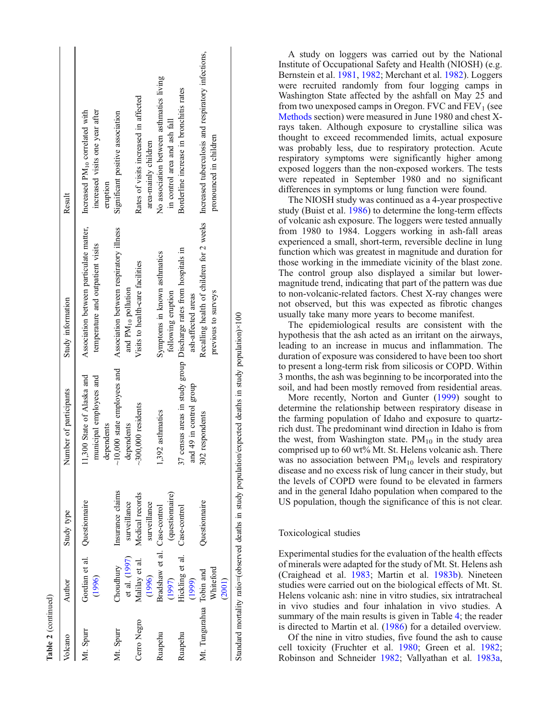| Table 2 (continued)      |                                        |                                  |                                                                                                        |                                                                                        |                                                                                                                       |
|--------------------------|----------------------------------------|----------------------------------|--------------------------------------------------------------------------------------------------------|----------------------------------------------------------------------------------------|-----------------------------------------------------------------------------------------------------------------------|
| Volcano                  | Author                                 | Study type                       | Number of participants                                                                                 | Study information                                                                      | Result                                                                                                                |
| Mt. Spurr                | Gordian et al. Questionnaire<br>(1996) |                                  | 1,300 State of Alaska and<br>municipal employees and<br>dependents                                     | Association between particulate matter,<br>temperature and outpatient visits           | increased visits one year after<br>Increased PM <sub>10</sub> correlated with<br>eruption                             |
| Mt. Spurr                | et al. (1997)<br>Choudhury             | Insurance claims<br>surveillance | $\sim$ 10,000 state employees and<br>dependents                                                        | Association between respiratory illness<br>and PM <sub>10</sub> pollution              | Significant positive association                                                                                      |
| <b>Cerro Negro</b>       | Malilay et al.<br>(1996)               | Medical records<br>surveillance  | $\sim$ 300,000 residents                                                                               | Visits to health-care facilities                                                       | Rates of visits increased in affected<br>area-mainly children                                                         |
| Ruapehu                  | Bradshaw et al. Case-control<br>(1997) | (questionnaire)                  | .392 asthmatics                                                                                        | Symptoms in known asthmatics<br>following eruption                                     | No association between asthmatics living<br>in control area and ash fall                                              |
| Ruapehu                  | Hickling et al.<br>(1999)              | Case-control                     | and 49 in control group                                                                                | 37 census areas in study group Discharge rates from hospitals in<br>ash-affected areas | Borderline increase in bronchitis rates                                                                               |
| Mt. Tungurahua Tobin and | Whiteford<br>(2001)                    | Questionnaire                    | 302 respondents                                                                                        | previous to surveys                                                                    | Recalling health of children for 2 weeks Increased tuberculosis and respiratory infections,<br>pronounced in children |
|                          |                                        |                                  | Standard mortality ratio=(observed deaths in study population/expected deaths in study population)×100 |                                                                                        |                                                                                                                       |

A study on loggers was carried out by the National Institute of Occupational Safety and Health (NIOSH) (e.g. Bernstein et al. [1981](#page-20-0) , [1982](#page-20-0); Merchant et al. [1982\)](#page-22-0). Loggers were recruited randomly from four logging camps in Washington State affected by the ashfall on May 25 and from two unexposed camps in Oregon.  $\text{FVC}$  and  $\text{FEV}_1$  (see [Methods](#page-1-0) section) were measured in June 1980 and chest Xrays taken. Although exposure to crystalline silica was thought to exceed recommended limits, actual exposure was probably less, due to respiratory protection. Acute respiratory symptoms were significantly higher among exposed loggers than the non-exposed workers. The tests were repeated in September 1980 and no significant differences in symptoms or lung function were found.

The NIOSH study was continued as a 4-year prospective study (Buist et al. [1986](#page-20-0)) to determine the long-term effects of volcanic ash exposure. The loggers were tested annually from 1980 to 1984. Loggers working in ash-fall areas experienced a small, short-term, reversible decline in lung function which was greatest in magnitude and duration for those working in the immediate vicinity of the blast zone. The control group also displayed a similar but lowermagnitude trend, indicating that part of the pattern was due to non-volcanic-related factors. Chest X-ray changes were not observed, but this was expected as fibrotic changes usually take many more years to become manifest.

The epidemiological results are consistent with the hypothesis that the ash acted as an irritant on the airways, leading to an increase in mucus and inflammation. The duration of exposure was considered to have been too short to present a long-term risk from silicosis or COPD. Within 3 months, the ash was beginning to be incorporated into the soil, and had been mostly removed from residential areas.

More recently, Norton and Gunter ([1999\)](#page-22-0) sought to determine the relationship between respiratory disease in the farming population of Idaho and exposure to quartzrich dust. The predominant wind direction in Idaho is from the west, from Washington state.  $PM_{10}$  in the study area comprised up to 60 wt% Mt. St. Helens volcanic ash. There was no association between  $PM_{10}$  levels and respiratory disease and no excess risk of lung cancer in their study, but the levels of COPD were found to be elevated in farmers and in the general Idaho population when compared to the US population, though the significance of this is not clear.

# Toxicological studies

Experimental studies for the evaluation of the health effects of minerals were adapted for the study of Mt. St. Helens ash (Craighead et al. [1983](#page-20-0); Martin et al. [1983b\)](#page-22-0). Nineteen studies were carried out on the biological effects of Mt. St. Helens volcanic ash: nine in vitro studies, six intratracheal in vivo studies and four inhalation in vivo studies. A summary of the main results is given in Table [4;](#page-10-0) the reader is directed to Martin et al. [\(1986](#page-22-0)) for a detailed overview.

Of the nine in vitro studies, five found the ash to cause cell toxicity (Fruchter et al. [1980;](#page-21-0) Green et al. [1982](#page-21-0) ; Robinson and Schneider [1982](#page-22-0); Vallyathan et al. [1983a](#page-22-0) ,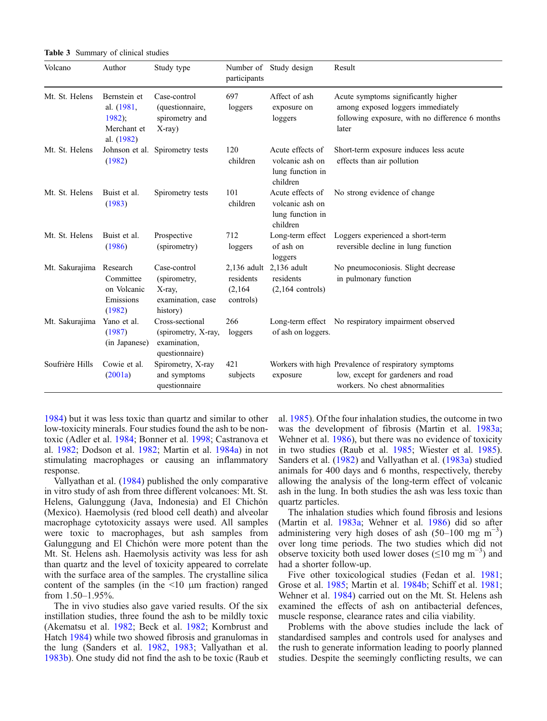| Volcano         | Author                                                            | Study type                                                               | participants                                       | Number of Study design                                              | Result                                                                                                                               |
|-----------------|-------------------------------------------------------------------|--------------------------------------------------------------------------|----------------------------------------------------|---------------------------------------------------------------------|--------------------------------------------------------------------------------------------------------------------------------------|
| Mt. St. Helens  | Bernstein et<br>al. (1981,<br>1982);<br>Merchant et<br>al. (1982) | Case-control<br>(questionnaire,<br>spirometry and<br>$X-ray)$            | 697<br>loggers                                     | Affect of ash<br>exposure on<br>loggers                             | Acute symptoms significantly higher<br>among exposed loggers immediately<br>following exposure, with no difference 6 months<br>later |
| Mt. St. Helens  | (1982)                                                            | Johnson et al. Spirometry tests                                          | 120<br>children                                    | Acute effects of<br>volcanic ash on<br>lung function in<br>children | Short-term exposure induces less acute<br>effects than air pollution                                                                 |
| Mt. St. Helens  | Buist et al.<br>(1983)                                            | Spirometry tests                                                         | 101<br>children                                    | Acute effects of<br>volcanic ash on<br>lung function in<br>children | No strong evidence of change                                                                                                         |
| Mt. St. Helens  | Buist et al.<br>(1986)                                            | Prospective<br>(spirometry)                                              | 712<br>loggers                                     | Long-term effect<br>of ash on<br>loggers                            | Loggers experienced a short-term<br>reversible decline in lung function                                                              |
| Mt. Sakurajima  | Research<br>Committee<br>on Volcanic<br>Emissions<br>(1982)       | Case-control<br>(spirometry,<br>X-ray,<br>examination, case<br>history)  | $2,136$ adult<br>residents<br>(2,164)<br>controls) | 2,136 adult<br>residents<br>$(2,164$ controls)                      | No pneumoconiosis. Slight decrease<br>in pulmonary function                                                                          |
| Mt. Sakurajima  | Yano et al.<br>(1987)<br>(in Japanese)                            | Cross-sectional<br>(spirometry, X-ray,<br>examination,<br>questionnaire) | 266<br>loggers                                     | of ash on loggers.                                                  | Long-term effect No respiratory impairment observed                                                                                  |
| Soufrière Hills | Cowie et al.<br>(2001a)                                           | Spirometry, X-ray<br>and symptoms<br>questionnaire                       | 421<br>subjects                                    | exposure                                                            | Workers with high Prevalence of respiratory symptoms<br>low, except for gardeners and road<br>workers. No chest abnormalities        |

<span id="page-9-0"></span>Table 3 Summary of clinical studies

[1984](#page-22-0)) but it was less toxic than quartz and similar to other low-toxicity minerals. Four studies found the ash to be nontoxic (Adler et al. [1984;](#page-19-0) Bonner et al. [1998](#page-20-0); Castranova et al. [1982;](#page-20-0) Dodson et al. [1982](#page-20-0); Martin et al. [1984a\)](#page-22-0) in not stimulating macrophages or causing an inflammatory response.

Vallyathan et al. ([1984\)](#page-22-0) published the only comparative in vitro study of ash from three different volcanoes: Mt. St. Helens, Galunggung (Java, Indonesia) and El Chichón (Mexico). Haemolysis (red blood cell death) and alveolar macrophage cytotoxicity assays were used. All samples were toxic to macrophages, but ash samples from Galunggung and El Chichón were more potent than the Mt. St. Helens ash. Haemolysis activity was less for ash than quartz and the level of toxicity appeared to correlate with the surface area of the samples. The crystalline silica content of the samples (in the  $\leq 10 \mu$ m fraction) ranged from 1.50–1.95%.

The in vivo studies also gave varied results. Of the six instillation studies, three found the ash to be mildly toxic (Akematsu et al. [1982;](#page-19-0) Beck et al. [1982;](#page-20-0) Kornbrust and Hatch [1984\)](#page-22-0) while two showed fibrosis and granulomas in the lung (Sanders et al. [1982,](#page-22-0) [1983;](#page-22-0) Vallyathan et al. [1983b](#page-22-0)). One study did not find the ash to be toxic (Raub et al. [1985](#page-22-0)). Of the four inhalation studies, the outcome in two was the development of fibrosis (Martin et al. [1983a](#page-22-0); Wehner et al. [1986\)](#page-23-0), but there was no evidence of toxicity in two studies (Raub et al. [1985;](#page-22-0) Wiester et al. [1985](#page-23-0)). Sanders et al. ([1982\)](#page-22-0) and Vallyathan et al. [\(1983a\)](#page-22-0) studied animals for 400 days and 6 months, respectively, thereby allowing the analysis of the long-term effect of volcanic ash in the lung. In both studies the ash was less toxic than quartz particles.

The inhalation studies which found fibrosis and lesions (Martin et al. [1983a](#page-22-0); Wehner et al. [1986\)](#page-23-0) did so after administering very high doses of ash  $(50-100 \text{ mg m}^{-3})$ over long time periods. The two studies which did not observe toxicity both used lower doses ( $\leq$ 10 mg m<sup>-3</sup>) and had a shorter follow-up.

Five other toxicological studies (Fedan et al. [1981](#page-21-0); Grose et al. [1985](#page-21-0); Martin et al. [1984b;](#page-22-0) Schiff et al. [1981](#page-22-0); Wehner et al. [1984\)](#page-23-0) carried out on the Mt. St. Helens ash examined the effects of ash on antibacterial defences, muscle response, clearance rates and cilia viability.

Problems with the above studies include the lack of standardised samples and controls used for analyses and the rush to generate information leading to poorly planned studies. Despite the seemingly conflicting results, we can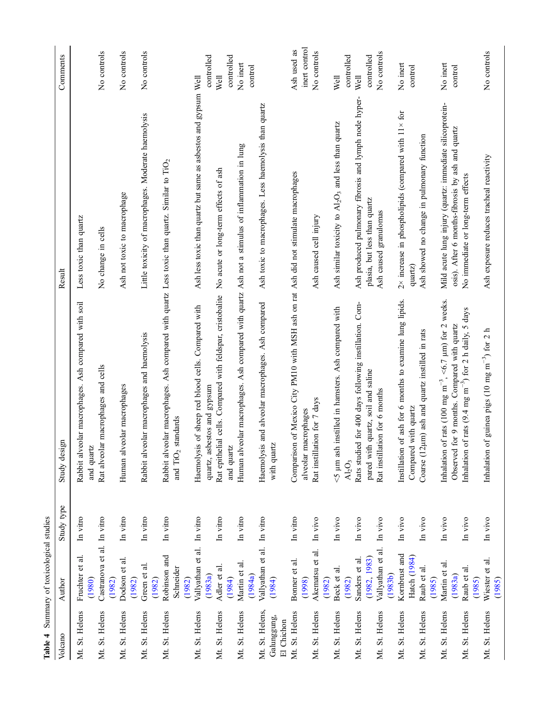<span id="page-10-0"></span>

|                                              | Table 4 Summary of toxicological studies |            |                                                                                                                                             |                                                                                                              |                              |
|----------------------------------------------|------------------------------------------|------------|---------------------------------------------------------------------------------------------------------------------------------------------|--------------------------------------------------------------------------------------------------------------|------------------------------|
| Volcano                                      | Author                                   | Study type | Study design                                                                                                                                | Result                                                                                                       | Comments                     |
| Mt. St. Helens                               | Fruchter et al.<br>(1980)                | In vitro   | Rabbit alveolar macrophages. Ash compared with soil<br>and quartz                                                                           | Less toxic than quartz                                                                                       |                              |
| Mt. St. Helens                               | Castranova et al. In vitro<br>(1982)     |            | Rat alveolar macrophages and cells                                                                                                          | No change in cells                                                                                           | No controls                  |
| St. Helens<br>Xt.                            | Dodson et al.<br>(1982)                  | In vitro   | Human alveolar macrophages                                                                                                                  | Ash not toxic to macrophage                                                                                  | No controls                  |
| Mt. St. Helens                               | ನ.<br>Green et<br>(1982)                 | In vitro   | Rabbit alveolar macrophages and haemolysis                                                                                                  | Little toxicity of macrophages. Moderate haemolysis                                                          | No controls                  |
| Mt. St. Helens                               | Robinson and<br>Schneider<br>(1982)      | In vitro   | Rabbit alveolar macrophages. Ash compared with quartz Less toxic than quartz. Similar to TiO <sub>2</sub><br>and TiO <sub>2</sub> standards |                                                                                                              |                              |
| Mt. St. Helens                               | Vallyathan et al.<br>(1983a)             | In vitro   | vsis of sheep red blood cells. Compared with<br>quartz, asbestos and gypsum<br>Haemoly                                                      | Ash less toxic than quartz but same as asbestos and gypsum Well                                              | controlled                   |
| Mt. St. Helens                               | Adler et al.<br>(1984)                   | In vitro   | Rat epithelial cells. Compared with feldspar, cristobalite<br>and quartz                                                                    | No acute or long-term effects of ash                                                                         | controlled<br>Well           |
| Mt. St. Helens                               | ನ<br>Martin et<br>(1984a)                | In vitro   | Human alveolar macrophages. Ash compared with quartz Ash not a stimulus of inflammation in lung                                             |                                                                                                              | No inert<br>control          |
| Mt. St. Helens,<br>Galunggung,<br>El Chichon | Vallyathan et al.<br>(1984)              | In vitro   | Haemolysis and alveolar macrophages. Ash compared<br>with quartz                                                                            | Ash toxic to macrophages. Less haemolysis than quartz                                                        |                              |
| Mt. St. Helens                               | Bonner et al.<br>(1998)                  | In vitro   | Comparison of Mexico City PM10 with MSH ash on rat Ash did not stimulate macrophages<br>macrophages<br>alveolar                             |                                                                                                              | inert control<br>Ash used as |
| Mt. St. Helens                               | Akematsu et al.<br>(1982)                | In vivo    | Rat instillation for 7 days                                                                                                                 | Ash caused cell injury                                                                                       | No controls                  |
| Mt. St. Helens                               | Beck et al.<br>(1982)                    | In vivo    | sh instilled in hamsters. Ash compared with<br>$5 \mu m$ as<br>$\text{Al}_2\text{O}_3$                                                      | Ash similar toxicity to Al <sub>2</sub> O <sub>3</sub> and less than quartz                                  | controlled<br>Well           |
| Mt. St. Helens                               | (1982, 1983)<br>Sanders et al.           | In vivo    | Rats studied for 400 days following instillation. Com-<br>pared with quartz, soil and saline                                                | Ash produced pulmonary fibrosis and lymph node hyper-<br>plasia, but less than quartz                        | controlled<br>Well           |
| Mt. St. Helens                               | Vallyathan et al.<br>(1983b)             | In vivo    | Rat instillation for 6 months                                                                                                               | Ash caused granulomas                                                                                        | No controls                  |
| Mt. St. Helens                               | Kornbrust and<br>Hatch (1984)            | In vivo    | Instillation of ash for 6 months to examine lung lipids.<br>Compared with quartz                                                            | 2x increase in phospholipids (compared with 11x for<br>quartz)                                               | No inert<br>control          |
| Mt. St. Helens                               | Raub et al<br>(1985)                     | In vivo    | Coarse (12µm) ash and quartz instilled in rats                                                                                              | Ash showed no change in pulmonary function                                                                   |                              |
| Mt. St. Helens                               | Martin et al.<br>(1983a)                 | In vivo    | Inhalation of rats (100 mg m <sup>-3</sup> , <6.7 µm) for 2 weeks.<br>Observed for 9 months. Compared with quartz                           | Mild acute lung injury (quartz: immediate silicoprotein-<br>osis). After 6 months-fibrosis by ash and quartz | No inert<br>control          |
| Mt. St. Helens                               | Raub et al.<br>(1985)                    | In vivo    | Inhalation of rats (9.4 mg m <sup>-3</sup> ) for 2 h daily, 5 days                                                                          | No immediate or long-term effects                                                                            |                              |
| Mt. St. Helens                               | Wiester et al.<br>(1985)                 | In vivo    | Inhalation of guinea pigs $(10 \text{ mg m}^{-3})$ for 2 h                                                                                  | Ash exposure reduces tracheal reactivity                                                                     | No controls                  |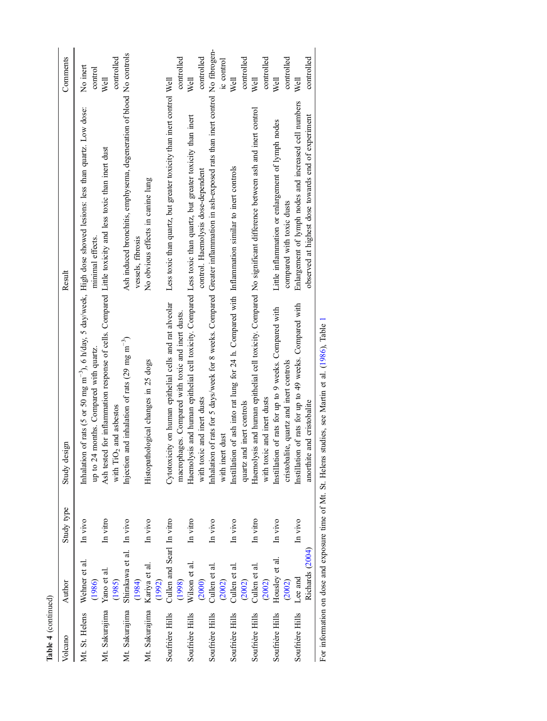| Table 4 (continued) |                                                             |            |                                                                                                                                                                        |                                                                                                                                   |                     |
|---------------------|-------------------------------------------------------------|------------|------------------------------------------------------------------------------------------------------------------------------------------------------------------------|-----------------------------------------------------------------------------------------------------------------------------------|---------------------|
| Volcano             | Author                                                      | Study type | Study design                                                                                                                                                           | Result                                                                                                                            | Comments            |
| Mt. St. Helens      | Wehner et al.<br>(1986)                                     | In vivo    | Inhalation of rats (5 or 50 mg m <sup>-3</sup> ), 6 h/day, 5 day/week, High dose showed lesions: less than quartz. Low dose:<br>up to 24 months. Compared with quartz. | minimal effects.                                                                                                                  | No inert<br>control |
| Mt. Sakurajima      | Yano et al.<br>(1985)                                       | In vitro   | Ash tested for inflammation response of cells. Compared Little toxicity and less toxic than inert dust<br>with TiO <sub>2</sub> and asbestos                           |                                                                                                                                   | controlled<br>Well  |
| Mt. Sakurajima      | Shirakawa et al. In vivo<br>(1984)                          |            | and inhalation of rats $(29 \text{ mg m}^{-3})$<br>Injection                                                                                                           | Ash induced bronchitis, emphysema, degeneration of blood No controls<br>vessels, fibrosis                                         |                     |
| Mt. Sakurajima      | Kariya et al.<br>(1992)                                     | In vivo    | Histopathological changes in 25 dogs                                                                                                                                   | No obvious effects in canine lung                                                                                                 |                     |
| Soufrière Hills     | Cullen and Searl In vitro<br>(1998)                         |            | Cytotoxicity on human epithelial cells and rat alveolar<br>macrophages. Compared with toxic and inert dusts.                                                           | Less toxic than quartz, but greater toxicity than inert control Well                                                              | controlled          |
| Soufrière Hills     | Wilson et al.<br>(2000)                                     | In vitro   | Haemolysis and human epithelial cell toxicity. Compared Less toxic than quartz, but greater toxicity than inert<br>with toxic and inert dusts                          | control. Haemolysis dose-dependent                                                                                                | controlled<br>Well  |
| Soufrière Hills     | Cullen et al.<br>(2002)                                     | In vivo    | with inert dust                                                                                                                                                        | Inhalation of rats for 5 days/week for 8 weeks. Compared Greater inflammation in ash-exposed rats than inert control No fibrogen- | ic control          |
| Soufrière Hills     | Cullen et al.<br>(2002)                                     | In vivo    | Instillation of ash into rat lung for 24 h. Compared with Inflammation similar to inert controls<br>quartz and inert controls                                          |                                                                                                                                   | controlled<br>Well  |
| Soufrière Hills     | Cullen et al.<br>(2002)                                     | In vitro   | Haemolysis and human epithelial cell toxicity. Compared No significant difference between ash and inert control<br>with toxic and inert dusts                          |                                                                                                                                   | controlled<br>Well  |
| Soufrière Hills     | Housley et al.<br>(2002)                                    | In vivo    | Instillation of rats for up to 9 weeks. Compared with<br>cristobalite, quartz and inert controls                                                                       | Little inflammation or enlargement of lymph nodes<br>compared with toxic dusts                                                    | controlled<br>Well  |
| Soufrière Hills     | Richards (2004)<br>Lee and                                  | In vivo    | Instillation of rats for up to 49 weeks. Compared with<br>anorthite and cristobalite                                                                                   | Enlargement of lymph nodes and increased cell numbers<br>observed at highest dose towards end of experiment                       | controlled<br>Well  |
|                     | For information on dose and exposure time of Mt. St. Helens |            | studies, see Martin et al. (1986), Table 1                                                                                                                             |                                                                                                                                   |                     |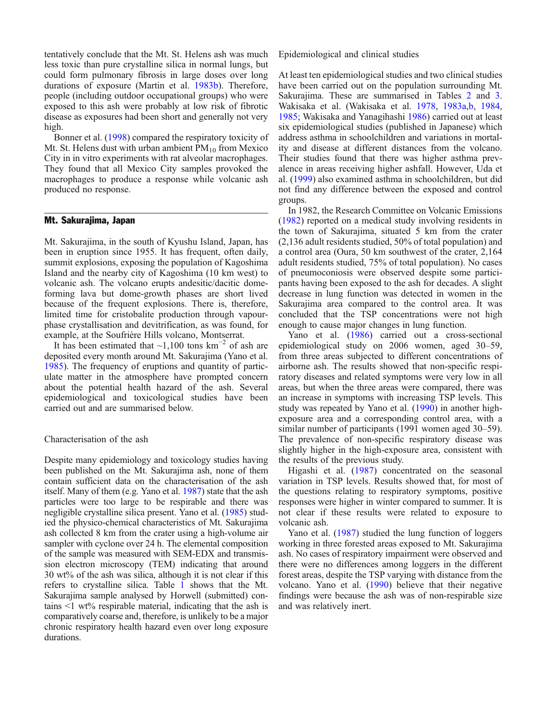tentatively conclude that the Mt. St. Helens ash was much less toxic than pure crystalline silica in normal lungs, but could form pulmonary fibrosis in large doses over long durations of exposure (Martin et al. [1983b\)](#page-22-0). Therefore, people (including outdoor occupational groups) who were exposed to this ash were probably at low risk of fibrotic disease as exposures had been short and generally not very high.

Bonner et al. [\(1998](#page-20-0)) compared the respiratory toxicity of Mt. St. Helens dust with urban ambient  $PM_{10}$  from Mexico City in in vitro experiments with rat alveolar macrophages. They found that all Mexico City samples provoked the macrophages to produce a response while volcanic ash produced no response.

# Mt. Sakurajima, Japan

Mt. Sakurajima, in the south of Kyushu Island, Japan, has been in eruption since 1955. It has frequent, often daily, summit explosions, exposing the population of Kagoshima Island and the nearby city of Kagoshima (10 km west) to volcanic ash. The volcano erupts andesitic/dacitic domeforming lava but dome-growth phases are short lived because of the frequent explosions. There is, therefore, limited time for cristobalite production through vapourphase crystallisation and devitrification, as was found, for example, at the Soufrière Hills volcano, Montserrat.

It has been estimated that ~1,100 tons  $km^{-2}$  of ash are deposited every month around Mt. Sakurajima (Yano et al. [1985](#page-23-0)). The frequency of eruptions and quantity of particulate matter in the atmosphere have prompted concern about the potential health hazard of the ash. Several epidemiological and toxicological studies have been carried out and are summarised below.

#### Characterisation of the ash

Despite many epidemiology and toxicology studies having been published on the Mt. Sakurajima ash, none of them contain sufficient data on the characterisation of the ash itself. Many of them (e.g. Yano et al. [1987](#page-23-0)) state that the ash particles were too large to be respirable and there was negligible crystalline silica present. Yano et al. ([1985](#page-23-0)) studied the physico-chemical characteristics of Mt. Sakurajima ash collected 8 km from the crater using a high-volume air sampler with cyclone over 24 h. The elemental composition of the sample was measured with SEM-EDX and transmission electron microscopy (TEM) indicating that around 30 wt% of the ash was silica, although it is not clear if this refers to crystalline silica. Table [1](#page-3-0) shows that the Mt. Sakurajima sample analysed by Horwell (submitted) contains <1 wt% respirable material, indicating that the ash is comparatively coarse and, therefore, is unlikely to be a major chronic respiratory health hazard even over long exposure durations.

Epidemiological and clinical studies

At least ten epidemiological studies and two clinical studies have been carried out on the population surrounding Mt. Sakurajima. These are summarised in Tables [2](#page-7-0) and [3](#page-9-0). Wakisaka et al. (Wakisaka et al. [1978](#page-22-0), [1983a,b,](#page-22-0) [1984](#page-23-0), [1985](#page-22-0); Wakisaka and Yanagihashi [1986\)](#page-22-0) carried out at least six epidemiological studies (published in Japanese) which address asthma in schoolchildren and variations in mortality and disease at different distances from the volcano. Their studies found that there was higher asthma prevalence in areas receiving higher ashfall. However, Uda et al. [\(1999](#page-22-0)) also examined asthma in schoolchildren, but did not find any difference between the exposed and control groups.

In 1982, the Research Committee on Volcanic Emissions ([1982\)](#page-22-0) reported on a medical study involving residents in the town of Sakurajima, situated 5 km from the crater (2,136 adult residents studied, 50% of total population) and a control area (Oura, 50 km southwest of the crater, 2,164 adult residents studied, 75% of total population). No cases of pneumoconiosis were observed despite some participants having been exposed to the ash for decades. A slight decrease in lung function was detected in women in the Sakurajima area compared to the control area. It was concluded that the TSP concentrations were not high enough to cause major changes in lung function.

Yano et al. [\(1986](#page-23-0)) carried out a cross-sectional epidemiological study on 2006 women, aged 30–59, from three areas subjected to different concentrations of airborne ash. The results showed that non-specific respiratory diseases and related symptoms were very low in all areas, but when the three areas were compared, there was an increase in symptoms with increasing TSP levels. This study was repeated by Yano et al. [\(1990](#page-23-0)) in another highexposure area and a corresponding control area, with a similar number of participants (1991 women aged 30–59). The prevalence of non-specific respiratory disease was slightly higher in the high-exposure area, consistent with the results of the previous study.

Higashi et al. [\(1987\)](#page-21-0) concentrated on the seasonal variation in TSP levels. Results showed that, for most of the questions relating to respiratory symptoms, positive responses were higher in winter compared to summer. It is not clear if these results were related to exposure to volcanic ash.

Yano et al. ([1987\)](#page-23-0) studied the lung function of loggers working in three forested areas exposed to Mt. Sakurajima ash. No cases of respiratory impairment were observed and there were no differences among loggers in the different forest areas, despite the TSP varying with distance from the volcano. Yano et al. [\(1990](#page-23-0)) believe that their negative findings were because the ash was of non-respirable size and was relatively inert.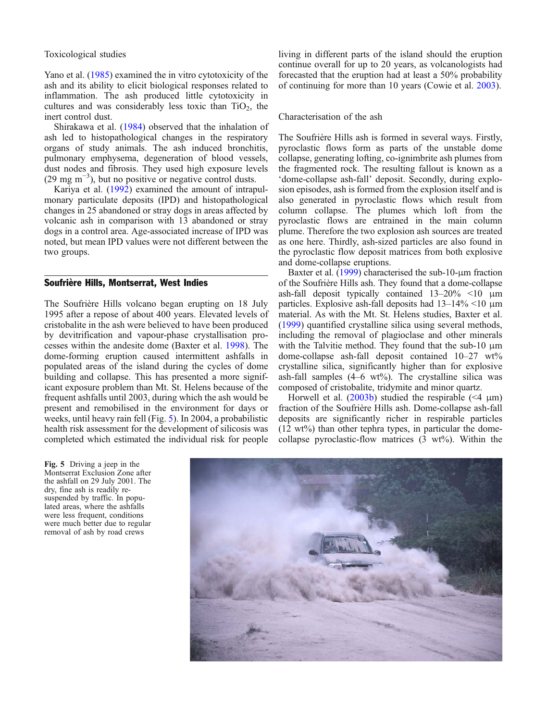## <span id="page-13-0"></span>Toxicological studies

Yano et al. [\(1985](#page-23-0)) examined the in vitro cytotoxicity of the ash and its ability to elicit biological responses related to inflammation. The ash produced little cytotoxicity in cultures and was considerably less toxic than  $TiO<sub>2</sub>$ , the inert control dust.

Shirakawa et al. ([1984\)](#page-22-0) observed that the inhalation of ash led to histopathological changes in the respiratory organs of study animals. The ash induced bronchitis, pulmonary emphysema, degeneration of blood vessels, dust nodes and fibrosis. They used high exposure levels (29 mg m−<sup>3</sup> ), but no positive or negative control dusts.

Kariya et al. ([1992](#page-22-0)) examined the amount of intrapulmonary particulate deposits (IPD) and histopathological changes in 25 abandoned or stray dogs in areas affected by volcanic ash in comparison with 13 abandoned or stray dogs in a control area. Age-associated increase of IPD was noted, but mean IPD values were not different between the two groups.

# Soufrière Hills, Montserrat, West Indies

The Soufrière Hills volcano began erupting on 18 July 1995 after a repose of about 400 years. Elevated levels of cristobalite in the ash were believed to have been produced by devitrification and vapour-phase crystallisation processes within the andesite dome (Baxter et al. [1998](#page-20-0)). The dome-forming eruption caused intermittent ashfalls in populated areas of the island during the cycles of dome building and collapse. This has presented a more significant exposure problem than Mt. St. Helens because of the frequent ashfalls until 2003, during which the ash would be present and remobilised in the environment for days or weeks, until heavy rain fell (Fig. 5). In 2004, a probabilistic health risk assessment for the development of silicosis was completed which estimated the individual risk for people

Fig. 5 Driving a jeep in the Montserrat Exclusion Zone after the ashfall on 29 July 2001. The dry, fine ash is readily resuspended by traffic. In populated areas, where the ashfalls were less frequent, conditions were much better due to regular removal of ash by road crews

living in different parts of the island should the eruption continue overall for up to 20 years, as volcanologists had forecasted that the eruption had at least a 50% probability of continuing for more than 10 years (Cowie et al. [2003](#page-20-0)).

#### Characterisation of the ash

The Soufrière Hills ash is formed in several ways. Firstly, pyroclastic flows form as parts of the unstable dome collapse, generating lofting, co-ignimbrite ash plumes from the fragmented rock. The resulting fallout is known as a 'dome-collapse ash-fall' deposit. Secondly, during explosion episodes, ash is formed from the explosion itself and is also generated in pyroclastic flows which result from column collapse. The plumes which loft from the pyroclastic flows are entrained in the main column plume. Therefore the two explosion ash sources are treated as one here. Thirdly, ash-sized particles are also found in the pyroclastic flow deposit matrices from both explosive and dome-collapse eruptions.

Baxter et al. ([1999](#page-20-0)) characterised the sub-10-μm fraction of the Soufrière Hills ash. They found that a dome-collapse ash-fall deposit typically contained  $13-20\%$  <10  $\mu$ m particles. Explosive ash-fall deposits had  $13-14\%$  <10  $\mu$ m material. As with the Mt. St. Helens studies, Baxter et al. ([1999\)](#page-20-0) quantified crystalline silica using several methods, including the removal of plagioclase and other minerals with the Talvitie method. They found that the sub-10 μm dome-collapse ash-fall deposit contained  $10-27$  wt% crystalline silica, significantly higher than for explosive ash-fall samples  $(4–6 \text{ wt\%})$ . The crystalline silica was composed of cristobalite, tridymite and minor quartz.

Horwell et al.  $(2003b)$  $(2003b)$  $(2003b)$  studied the respirable (<4  $\mu$ m) fraction of the Soufrière Hills ash. Dome-collapse ash-fall deposits are significantly richer in respirable particles  $(12 \text{ wt%)}$  than other tephra types, in particular the domecollapse pyroclastic-flow matrices  $(3 \text{ wt\%})$ . Within the

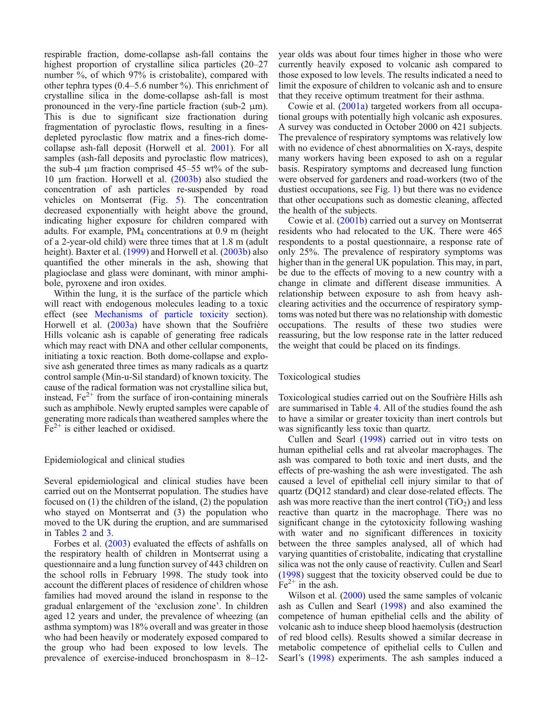respirable fraction, dome-collapse ash-fall contains the highest proportion of crystalline silica particles (20–27) number %, of which 97% is cristobalite), compared with other tephra types (0.4–5.6 number %). This enrichment of crystalline silica in the dome-collapse ash-fall is most pronounced in the very-fine particle fraction (sub-2 μm). This is due to significant size fractionation during fragmentation of pyroclastic flows, resulting in a finesdepleted pyroclastic flow matrix and a fines-rich domecollapse ash-fall deposit (Horwell et al. [2001\)](#page-21-0). For all samples (ash-fall deposits and pyroclastic flow matrices), the sub-4  $\mu$ m fraction comprised 45–55 wt% of the sub-10 μm fraction. Horwell et al. ([2003b\)](#page-21-0) also studied the concentration of ash particles re-suspended by road vehicles on Montserrat (Fig. [5\)](#page-13-0). The concentration decreased exponentially with height above the ground, indicating higher exposure for children compared with adults. For example,  $PM<sub>4</sub>$  concentrations at 0.9 m (height of a 2-year-old child) were three times that at 1.8 m (adult height). Baxter et al. ([1999\)](#page-20-0) and Horwell et al. [\(2003b\)](#page-21-0) also quantified the other minerals in the ash, showing that plagioclase and glass were dominant, with minor amphibole, pyroxene and iron oxides.

Within the lung, it is the surface of the particle which will react with endogenous molecules leading to a toxic effect (see [Mechanisms of particle toxicity](#page-4-0) section). Horwell et al. [\(2003a\)](#page-21-0) have shown that the Soufrière Hills volcanic ash is capable of generating free radicals which may react with DNA and other cellular components, initiating a toxic reaction. Both dome-collapse and explosive ash generated three times as many radicals as a quartz control sample (Min-u-Sil standard) of known toxicity. The cause of the radical formation was not crystalline silica but, instead,  $Fe<sup>2+</sup>$  from the surface of iron-containing minerals such as amphibole. Newly erupted samples were capable of generating more radicals than weathered samples where the  $Fe<sup>2+</sup>$  is either leached or oxidised.

### Epidemiological and clinical studies

Several epidemiological and clinical studies have been carried out on the Montserrat population. The studies have focused on (1) the children of the island, (2) the population who stayed on Montserrat and (3) the population who moved to the UK during the eruption, and are summarised in Tables [2](#page-7-0) and [3](#page-9-0).

Forbes et al. ([2003\)](#page-21-0) evaluated the effects of ashfalls on the respiratory health of children in Montserrat using a questionnaire and a lung function survey of 443 children on the school rolls in February 1998. The study took into account the different places of residence of children whose families had moved around the island in response to the gradual enlargement of the 'exclusion zone'. In children aged 12 years and under, the prevalence of wheezing (an asthma symptom) was 18% overall and was greater in those who had been heavily or moderately exposed compared to the group who had been exposed to low levels. The prevalence of exercise-induced bronchospasm in 8–12year olds was about four times higher in those who were currently heavily exposed to volcanic ash compared to those exposed to low levels. The results indicated a need to limit the exposure of children to volcanic ash and to ensure that they receive optimum treatment for their asthma.

Cowie et al. ([2001a](#page-20-0)) targeted workers from all occupational groups with potentially high volcanic ash exposures. A survey was conducted in October 2000 on 421 subjects. The prevalence of respiratory symptoms was relatively low with no evidence of chest abnormalities on X-rays, despite many workers having been exposed to ash on a regular basis. Respiratory symptoms and decreased lung function were observed for gardeners and road-workers (two of the dustiest occupations, see Fig. [1\)](#page-1-0) but there was no evidence that other occupations such as domestic cleaning, affected the health of the subjects.

Cowie et al. [\(2001b\)](#page-20-0) carried out a survey on Montserrat residents who had relocated to the UK. There were 465 respondents to a postal questionnaire, a response rate of only 25%. The prevalence of respiratory symptoms was higher than in the general UK population. This may, in part, be due to the effects of moving to a new country with a change in climate and different disease immunities. A relationship between exposure to ash from heavy ashclearing activities and the occurrence of respiratory symptoms was noted but there was no relationship with domestic occupations. The results of these two studies were reassuring, but the low response rate in the latter reduced the weight that could be placed on its findings.

#### Toxicological studies

Toxicological studies carried out on the Soufrière Hills ash are summarised in Table [4](#page-10-0). All of the studies found the ash to have a similar or greater toxicity than inert controls but was significantly less toxic than quartz.

Cullen and Searl ([1998](#page-20-0)) carried out in vitro tests on human epithelial cells and rat alveolar macrophages. The ash was compared to both toxic and inert dusts, and the effects of pre-washing the ash were investigated. The ash caused a level of epithelial cell injury similar to that of quartz (DQ12 standard) and clear dose-related effects. The ash was more reactive than the inert control  $(TiO<sub>2</sub>)$  and less reactive than quartz in the macrophage. There was no significant change in the cytotoxicity following washing with water and no significant differences in toxicity between the three samples analysed, all of which had varying quantities of cristobalite, indicating that crystalline silica was not the only cause of reactivity. Cullen and Searl ([1998\)](#page-20-0) suggest that the toxicity observed could be due to  $Fe<sup>2+</sup>$  in the ash.

Wilson et al. ([2000\)](#page-23-0) used the same samples of volcanic ash as Cullen and Searl [\(1998\)](#page-20-0) and also examined the competence of human epithelial cells and the ability of volcanic ash to induce sheep blood haemolysis (destruction of red blood cells). Results showed a similar decrease in metabolic competence of epithelial cells to Cullen and Searl's ([1998\)](#page-20-0) experiments. The ash samples induced a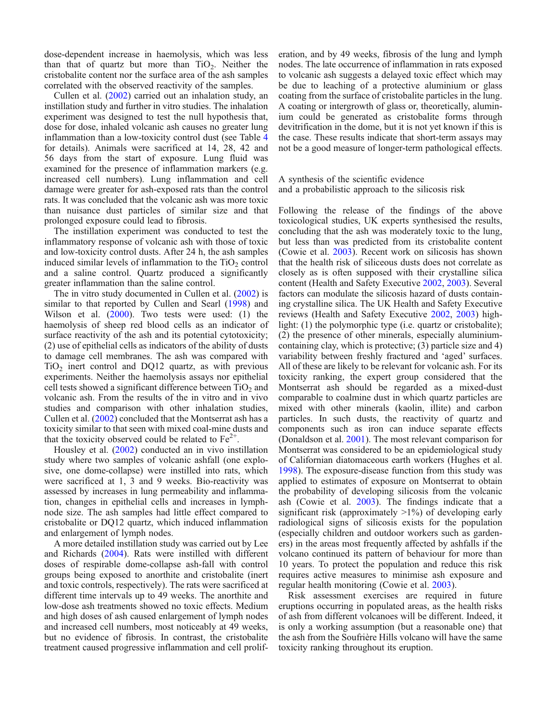dose-dependent increase in haemolysis, which was less than that of quartz but more than  $TiO<sub>2</sub>$ . Neither the cristobalite content nor the surface area of the ash samples correlated with the observed reactivity of the samples.

Cullen et al. [\(2002](#page-20-0)) carried out an inhalation study, an instillation study and further in vitro studies. The inhalation experiment was designed to test the null hypothesis that, dose for dose, inhaled volcanic ash causes no greater lung inflammation than a low-toxicity control dust (see Table [4](#page-10-0) for details). Animals were sacrificed at 14, 28, 42 and 56 days from the start of exposure. Lung fluid was examined for the presence of inflammation markers (e.g. increased cell numbers). Lung inflammation and cell damage were greater for ash-exposed rats than the control rats. It was concluded that the volcanic ash was more toxic than nuisance dust particles of similar size and that prolonged exposure could lead to fibrosis.

The instillation experiment was conducted to test the inflammatory response of volcanic ash with those of toxic and low-toxicity control dusts. After 24 h, the ash samples induced similar levels of inflammation to the  $TiO<sub>2</sub>$  control and a saline control. Quartz produced a significantly greater inflammation than the saline control.

The in vitro study documented in Cullen et al. ([2002\)](#page-20-0) is similar to that reported by Cullen and Searl [\(1998](#page-20-0)) and Wilson et al. ([2000\)](#page-23-0). Two tests were used: (1) the haemolysis of sheep red blood cells as an indicator of surface reactivity of the ash and its potential cytotoxicity; (2) use of epithelial cells as indicators of the ability of dusts to damage cell membranes. The ash was compared with  $TiO<sub>2</sub>$  inert control and DQ12 quartz, as with previous experiments. Neither the haemolysis assays nor epithelial cell tests showed a significant difference between  $TiO<sub>2</sub>$  and volcanic ash. From the results of the in vitro and in vivo studies and comparison with other inhalation studies, Cullen et al. [\(2002](#page-20-0)) concluded that the Montserrat ash has a toxicity similar to that seen with mixed coal-mine dusts and that the toxicity observed could be related to  $Fe^{2+}$ .

Housley et al. [\(2002](#page-22-0)) conducted an in vivo instillation study where two samples of volcanic ashfall (one explosive, one dome-collapse) were instilled into rats, which were sacrificed at 1, 3 and 9 weeks. Bio-reactivity was assessed by increases in lung permeability and inflammation, changes in epithelial cells and increases in lymphnode size. The ash samples had little effect compared to cristobalite or DQ12 quartz, which induced inflammation and enlargement of lymph nodes.

A more detailed instillation study was carried out by Lee and Richards ([2004\)](#page-22-0). Rats were instilled with different doses of respirable dome-collapse ash-fall with control groups being exposed to anorthite and cristobalite (inert and toxic controls, respectively). The rats were sacrificed at different time intervals up to 49 weeks. The anorthite and low-dose ash treatments showed no toxic effects. Medium and high doses of ash caused enlargement of lymph nodes and increased cell numbers, most noticeably at 49 weeks, but no evidence of fibrosis. In contrast, the cristobalite treatment caused progressive inflammation and cell prolif-

eration, and by 49 weeks, fibrosis of the lung and lymph nodes. The late occurrence of inflammation in rats exposed to volcanic ash suggests a delayed toxic effect which may be due to leaching of a protective aluminium or glass coating from the surface of cristobalite particles in the lung. A coating or intergrowth of glass or, theoretically, aluminium could be generated as cristobalite forms through devitrification in the dome, but it is not yet known if this is the case. These results indicate that short-term assays may not be a good measure of longer-term pathological effects.

A synthesis of the scientific evidence and a probabilistic approach to the silicosis risk

Following the release of the findings of the above toxicological studies, UK experts synthesised the results, concluding that the ash was moderately toxic to the lung, but less than was predicted from its cristobalite content (Cowie et al. [2003\)](#page-20-0). Recent work on silicosis has shown that the health risk of siliceous dusts does not correlate as closely as is often supposed with their crystalline silica content (Health and Safety Executive [2002](#page-21-0), [2003\)](#page-21-0). Several factors can modulate the silicosis hazard of dusts containing crystalline silica. The UK Health and Safety Executive reviews (Health and Safety Executive [2002](#page-21-0), [2003\)](#page-21-0) highlight: (1) the polymorphic type (i.e. quartz or cristobalite); (2) the presence of other minerals, especially aluminiumcontaining clay, which is protective; (3) particle size and 4) variability between freshly fractured and 'aged' surfaces. All of these are likely to be relevant for volcanic ash. For its toxicity ranking, the expert group considered that the Montserrat ash should be regarded as a mixed-dust comparable to coalmine dust in which quartz particles are mixed with other minerals (kaolin, illite) and carbon particles. In such dusts, the reactivity of quartz and components such as iron can induce separate effects (Donaldson et al. [2001](#page-20-0)). The most relevant comparison for Montserrat was considered to be an epidemiological study of Californian diatomaceous earth workers (Hughes et al. [1998](#page-22-0)). The exposure-disease function from this study was applied to estimates of exposure on Montserrat to obtain the probability of developing silicosis from the volcanic ash (Cowie et al. [2003](#page-20-0)). The findings indicate that a significant risk (approximately  $>1\%$ ) of developing early radiological signs of silicosis exists for the population (especially children and outdoor workers such as gardeners) in the areas most frequently affected by ashfalls if the volcano continued its pattern of behaviour for more than 10 years. To protect the population and reduce this risk requires active measures to minimise ash exposure and regular health monitoring (Cowie et al. [2003\)](#page-20-0).

Risk assessment exercises are required in future eruptions occurring in populated areas, as the health risks of ash from different volcanoes will be different. Indeed, it is only a working assumption (but a reasonable one) that the ash from the Soufrière Hills volcano will have the same toxicity ranking throughout its eruption.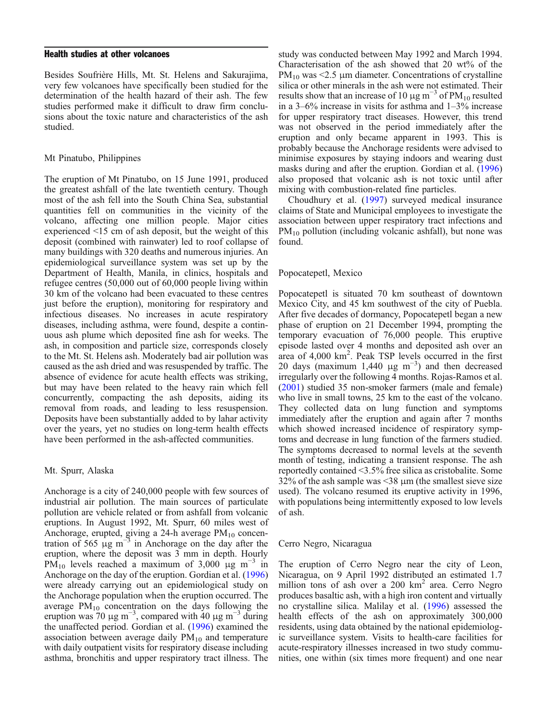# Health studies at other volcanoes

Besides Soufrière Hills, Mt. St. Helens and Sakurajima, very few volcanoes have specifically been studied for the determination of the health hazard of their ash. The few studies performed make it difficult to draw firm conclusions about the toxic nature and characteristics of the ash studied.

## Mt Pinatubo, Philippines

The eruption of Mt Pinatubo, on 15 June 1991, produced the greatest ashfall of the late twentieth century. Though most of the ash fell into the South China Sea, substantial quantities fell on communities in the vicinity of the volcano, affecting one million people. Major cities experienced <15 cm of ash deposit, but the weight of this deposit (combined with rainwater) led to roof collapse of many buildings with 320 deaths and numerous injuries. An epidemiological surveillance system was set up by the Department of Health, Manila, in clinics, hospitals and refugee centres (50,000 out of 60,000 people living within 30 km of the volcano had been evacuated to these centres just before the eruption), monitoring for respiratory and infectious diseases. No increases in acute respiratory diseases, including asthma, were found, despite a continuous ash plume which deposited fine ash for weeks. The ash, in composition and particle size, corresponds closely to the Mt. St. Helens ash. Moderately bad air pollution was caused as the ash dried and was resuspended by traffic. The absence of evidence for acute health effects was striking, but may have been related to the heavy rain which fell concurrently, compacting the ash deposits, aiding its removal from roads, and leading to less resuspension. Deposits have been substantially added to by lahar activity over the years, yet no studies on long-term health effects have been performed in the ash-affected communities.

#### Mt. Spurr, Alaska

Anchorage is a city of 240,000 people with few sources of industrial air pollution. The main sources of particulate pollution are vehicle related or from ashfall from volcanic eruptions. In August 1992, Mt. Spurr, 60 miles west of Anchorage, erupted, giving a 24-h average  $PM_{10}$  concentration of 565 μg m<sup>-3</sup> in Anchorage on the day after the eruption, where the deposit was 3 mm in depth. Hourly PM<sub>10</sub> levels reached a maximum of 3,000 μg m<sup>-3</sup> in Anchorage on the day of the eruption. Gordian et al. ([1996\)](#page-21-0) were already carrying out an epidemiological study on the Anchorage population when the eruption occurred. The average  $PM_{10}$  concentration on the days following the eruption was 70  $\mu$ g m<sup>-3</sup>, compared with 40  $\mu$ g m<sup>-3</sup> during the unaffected period. Gordian et al. [\(1996\)](#page-21-0) examined the association between average daily  $PM_{10}$  and temperature with daily outpatient visits for respiratory disease including asthma, bronchitis and upper respiratory tract illness. The

study was conducted between May 1992 and March 1994. Characterisation of the ash showed that 20 wt% of the PM<sub>10</sub> was <2.5  $\mu$ m diameter. Concentrations of crystalline silica or other minerals in the ash were not estimated. Their results show that an increase of 10  $\mu$ g m<sup>-3</sup> of PM<sub>10</sub> resulted in a 3–6% increase in visits for asthma and 1–3% increase for upper respiratory tract diseases. However, this trend was not observed in the period immediately after the eruption and only became apparent in 1993. This is probably because the Anchorage residents were advised to minimise exposures by staying indoors and wearing dust masks during and after the eruption. Gordian et al. ([1996\)](#page-21-0) also proposed that volcanic ash is not toxic until after mixing with combustion-related fine particles.

Choudhury et al. [\(1997](#page-20-0)) surveyed medical insurance claims of State and Municipal employees to investigate the association between upper respiratory tract infections and  $PM_{10}$  pollution (including volcanic ashfall), but none was found.

#### Popocatepetl, Mexico

Popocatepetl is situated 70 km southeast of downtown Mexico City, and 45 km southwest of the city of Puebla. After five decades of dormancy, Popocatepetl began a new phase of eruption on 21 December 1994, prompting the temporary evacuation of 76,000 people. This eruptive episode lasted over 4 months and deposited ash over an area of 4,000 km<sup>2</sup> . Peak TSP levels occurred in the first 20 days (maximum 1,440 μg m<sup>-3</sup>) and then decreased irregularly over the following 4 months. Rojas-Ramos et al. ([2001\)](#page-22-0) studied 35 non-smoker farmers (male and female) who live in small towns, 25 km to the east of the volcano. They collected data on lung function and symptoms immediately after the eruption and again after 7 months which showed increased incidence of respiratory symptoms and decrease in lung function of the farmers studied. The symptoms decreased to normal levels at the seventh month of testing, indicating a transient response. The ash reportedly contained <3.5% free silica as cristobalite. Some  $32\%$  of the ash sample was  $\leq 38 \mu$ m (the smallest sieve size used). The volcano resumed its eruptive activity in 1996, with populations being intermittently exposed to low levels of ash.

#### Cerro Negro, Nicaragua

The eruption of Cerro Negro near the city of Leon, Nicaragua, on 9 April 1992 distributed an estimated 1.7 million tons of ash over a  $200 \text{ km}^2$  area. Cerro Negro produces basaltic ash, with a high iron content and virtually no crystalline silica. Malilay et al. ([1996\)](#page-22-0) assessed the health effects of the ash on approximately 300,000 residents, using data obtained by the national epidemiologic surveillance system. Visits to health-care facilities for acute-respiratory illnesses increased in two study communities, one within (six times more frequent) and one near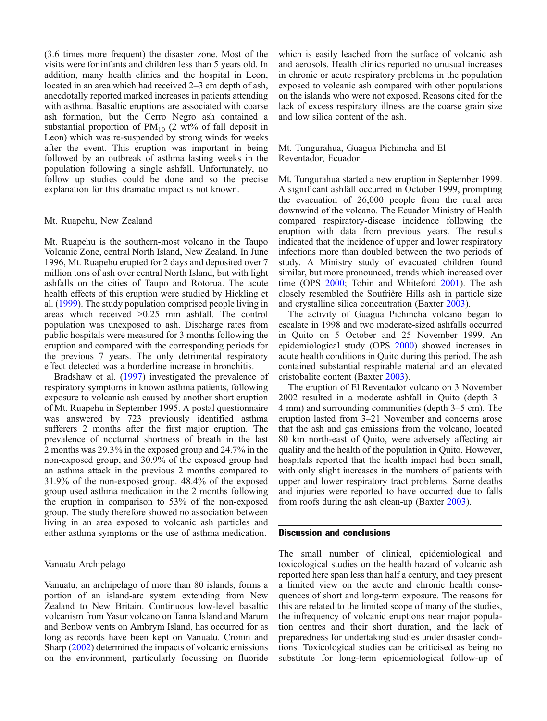(3.6 times more frequent) the disaster zone. Most of the visits were for infants and children less than 5 years old. In addition, many health clinics and the hospital in Leon, located in an area which had received 2–3 cm depth of ash, anecdotally reported marked increases in patients attending with asthma. Basaltic eruptions are associated with coarse ash formation, but the Cerro Negro ash contained a substantial proportion of  $PM_{10}$  (2 wt% of fall deposit in Leon) which was re-suspended by strong winds for weeks after the event. This eruption was important in being followed by an outbreak of asthma lasting weeks in the population following a single ashfall. Unfortunately, no follow up studies could be done and so the precise explanation for this dramatic impact is not known.

#### Mt. Ruapehu, New Zealand

Mt. Ruapehu is the southern-most volcano in the Taupo Volcanic Zone, central North Island, New Zealand. In June 1996, Mt. Ruapehu erupted for 2 days and deposited over 7 million tons of ash over central North Island, but with light ashfalls on the cities of Taupo and Rotorua. The acute health effects of this eruption were studied by Hickling et al. ([1999\)](#page-21-0). The study population comprised people living in areas which received >0.25 mm ashfall. The control population was unexposed to ash. Discharge rates from public hospitals were measured for 3 months following the eruption and compared with the corresponding periods for the previous 7 years. The only detrimental respiratory effect detected was a borderline increase in bronchitis.

Bradshaw et al. [\(1997](#page-20-0)) investigated the prevalence of respiratory symptoms in known asthma patients, following exposure to volcanic ash caused by another short eruption of Mt. Ruapehu in September 1995. A postal questionnaire was answered by 723 previously identified asthma sufferers 2 months after the first major eruption. The prevalence of nocturnal shortness of breath in the last 2 months was 29.3% in the exposed group and 24.7% in the non-exposed group, and 30.9% of the exposed group had an asthma attack in the previous 2 months compared to 31.9% of the non-exposed group. 48.4% of the exposed group used asthma medication in the 2 months following the eruption in comparison to 53% of the non-exposed group. The study therefore showed no association between living in an area exposed to volcanic ash particles and either asthma symptoms or the use of asthma medication.

# Vanuatu Archipelago

Vanuatu, an archipelago of more than 80 islands, forms a portion of an island-arc system extending from New Zealand to New Britain. Continuous low-level basaltic volcanism from Yasur volcano on Tanna Island and Marum and Benbow vents on Ambrym Island, has occurred for as long as records have been kept on Vanuatu. Cronin and Sharp [\(2002\)](#page-20-0) determined the impacts of volcanic emissions on the environment, particularly focussing on fluoride which is easily leached from the surface of volcanic ash and aerosols. Health clinics reported no unusual increases in chronic or acute respiratory problems in the population exposed to volcanic ash compared with other populations on the islands who were not exposed. Reasons cited for the lack of excess respiratory illness are the coarse grain size and low silica content of the ash.

## Mt. Tungurahua, Guagua Pichincha and El Reventador, Ecuador

Mt. Tungurahua started a new eruption in September 1999. A significant ashfall occurred in October 1999, prompting the evacuation of 26,000 people from the rural area downwind of the volcano. The Ecuador Ministry of Health compared respiratory-disease incidence following the eruption with data from previous years. The results indicated that the incidence of upper and lower respiratory infections more than doubled between the two periods of study. A Ministry study of evacuated children found similar, but more pronounced, trends which increased over time (OPS [2000](#page-22-0); Tobin and Whiteford [2001\)](#page-22-0). The ash closely resembled the Soufrière Hills ash in particle size and crystalline silica concentration (Baxter [2003\)](#page-20-0).

The activity of Guagua Pichincha volcano began to escalate in 1998 and two moderate-sized ashfalls occurred in Quito on 5 October and 25 November 1999. An epidemiological study (OPS [2000\)](#page-22-0) showed increases in acute health conditions in Quito during this period. The ash contained substantial respirable material and an elevated cristobalite content (Baxter [2003\)](#page-20-0).

The eruption of El Reventador volcano on 3 November 2002 resulted in a moderate ashfall in Quito (depth 3– 4 mm) and surrounding communities (depth 3–5 cm). The eruption lasted from 3–21 November and concerns arose that the ash and gas emissions from the volcano, located 80 km north-east of Quito, were adversely affecting air quality and the health of the population in Quito. However, hospitals reported that the health impact had been small, with only slight increases in the numbers of patients with upper and lower respiratory tract problems. Some deaths and injuries were reported to have occurred due to falls from roofs during the ash clean-up (Baxter [2003\)](#page-20-0).

# Discussion and conclusions

The small number of clinical, epidemiological and toxicological studies on the health hazard of volcanic ash reported here span less than half a century, and they present a limited view on the acute and chronic health consequences of short and long-term exposure. The reasons for this are related to the limited scope of many of the studies, the infrequency of volcanic eruptions near major population centres and their short duration, and the lack of preparedness for undertaking studies under disaster conditions. Toxicological studies can be criticised as being no substitute for long-term epidemiological follow-up of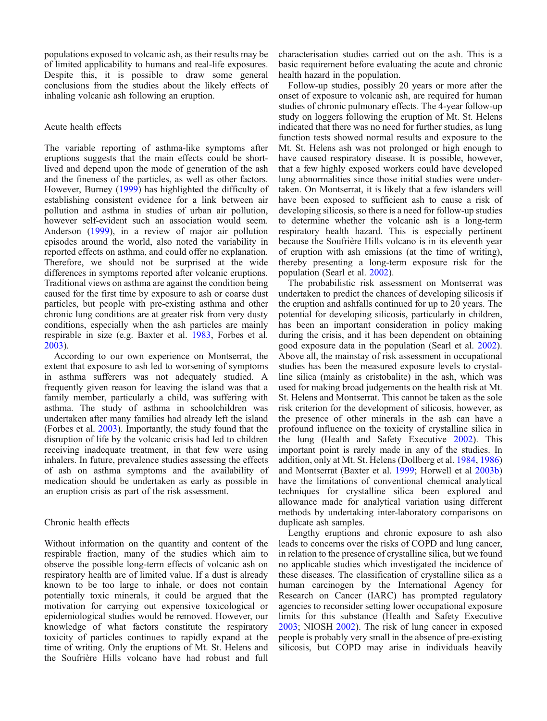populations exposed to volcanic ash, as their results may be of limited applicability to humans and real-life exposures. Despite this, it is possible to draw some general conclusions from the studies about the likely effects of inhaling volcanic ash following an eruption.

# Acute health effects

The variable reporting of asthma-like symptoms after eruptions suggests that the main effects could be shortlived and depend upon the mode of generation of the ash and the fineness of the particles, as well as other factors. However, Burney [\(1999](#page-20-0)) has highlighted the difficulty of establishing consistent evidence for a link between air pollution and asthma in studies of urban air pollution, however self-evident such an association would seem. Anderson [\(1999](#page-19-0)), in a review of major air pollution episodes around the world, also noted the variability in reported effects on asthma, and could offer no explanation. Therefore, we should not be surprised at the wide differences in symptoms reported after volcanic eruptions. Traditional views on asthma are against the condition being caused for the first time by exposure to ash or coarse dust particles, but people with pre-existing asthma and other chronic lung conditions are at greater risk from very dusty conditions, especially when the ash particles are mainly respirable in size (e.g. Baxter et al. [1983,](#page-20-0) Forbes et al. [2003](#page-21-0)).

According to our own experience on Montserrat, the extent that exposure to ash led to worsening of symptoms in asthma sufferers was not adequately studied. A frequently given reason for leaving the island was that a family member, particularly a child, was suffering with asthma. The study of asthma in schoolchildren was undertaken after many families had already left the island (Forbes et al. [2003\)](#page-21-0). Importantly, the study found that the disruption of life by the volcanic crisis had led to children receiving inadequate treatment, in that few were using inhalers. In future, prevalence studies assessing the effects of ash on asthma symptoms and the availability of medication should be undertaken as early as possible in an eruption crisis as part of the risk assessment.

# Chronic health effects

Without information on the quantity and content of the respirable fraction, many of the studies which aim to observe the possible long-term effects of volcanic ash on respiratory health are of limited value. If a dust is already known to be too large to inhale, or does not contain potentially toxic minerals, it could be argued that the motivation for carrying out expensive toxicological or epidemiological studies would be removed. However, our knowledge of what factors constitute the respiratory toxicity of particles continues to rapidly expand at the time of writing. Only the eruptions of Mt. St. Helens and the Soufrière Hills volcano have had robust and full

characterisation studies carried out on the ash. This is a basic requirement before evaluating the acute and chronic health hazard in the population.

Follow-up studies, possibly 20 years or more after the onset of exposure to volcanic ash, are required for human studies of chronic pulmonary effects. The 4-year follow-up study on loggers following the eruption of Mt. St. Helens indicated that there was no need for further studies, as lung function tests showed normal results and exposure to the Mt. St. Helens ash was not prolonged or high enough to have caused respiratory disease. It is possible, however, that a few highly exposed workers could have developed lung abnormalities since those initial studies were undertaken. On Montserrat, it is likely that a few islanders will have been exposed to sufficient ash to cause a risk of developing silicosis, so there is a need for follow-up studies to determine whether the volcanic ash is a long-term respiratory health hazard. This is especially pertinent because the Soufrière Hills volcano is in its eleventh year of eruption with ash emissions (at the time of writing), thereby presenting a long-term exposure risk for the population (Searl et al. [2002](#page-22-0)).

The probabilistic risk assessment on Montserrat was undertaken to predict the chances of developing silicosis if the eruption and ashfalls continued for up to 20 years. The potential for developing silicosis, particularly in children, has been an important consideration in policy making during the crisis, and it has been dependent on obtaining good exposure data in the population (Searl et al. [2002](#page-22-0)). Above all, the mainstay of risk assessment in occupational studies has been the measured exposure levels to crystalline silica (mainly as cristobalite) in the ash, which was used for making broad judgements on the health risk at Mt. St. Helens and Montserrat. This cannot be taken as the sole risk criterion for the development of silicosis, however, as the presence of other minerals in the ash can have a profound influence on the toxicity of crystalline silica in the lung (Health and Safety Executive [2002\)](#page-21-0). This important point is rarely made in any of the studies. In addition, only at Mt. St. Helens (Dollberg et al. [1984](#page-20-0), [1986\)](#page-20-0) and Montserrat (Baxter et al. [1999](#page-20-0); Horwell et al [2003b\)](#page-21-0) have the limitations of conventional chemical analytical techniques for crystalline silica been explored and allowance made for analytical variation using different methods by undertaking inter-laboratory comparisons on duplicate ash samples.

Lengthy eruptions and chronic exposure to ash also leads to concerns over the risks of COPD and lung cancer, in relation to the presence of crystalline silica, but we found no applicable studies which investigated the incidence of these diseases. The classification of crystalline silica as a human carcinogen by the International Agency for Research on Cancer (IARC) has prompted regulatory agencies to reconsider setting lower occupational exposure limits for this substance (Health and Safety Executive [2003](#page-21-0); NIOSH [2002](#page-22-0)). The risk of lung cancer in exposed people is probably very small in the absence of pre-existing silicosis, but COPD may arise in individuals heavily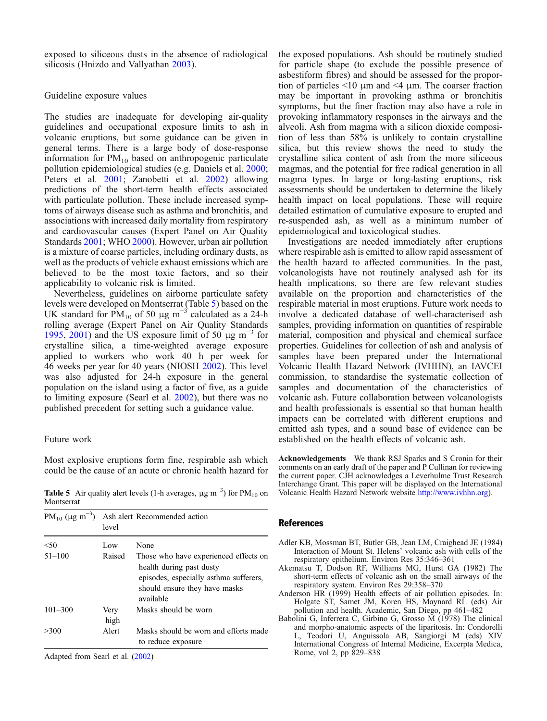<span id="page-19-0"></span>exposed to siliceous dusts in the absence of radiological silicosis (Hnizdo and Vallyathan [2003](#page-21-0)).

#### Guideline exposure values

The studies are inadequate for developing air-quality guidelines and occupational exposure limits to ash in volcanic eruptions, but some guidance can be given in general terms. There is a large body of dose-response information for  $PM_{10}$  based on anthropogenic particulate pollution epidemiological studies (e.g. Daniels et al. [2000](#page-20-0); Peters et al. [2001](#page-22-0); Zanobetti et al. [2002\)](#page-23-0) allowing predictions of the short-term health effects associated with particulate pollution. These include increased symptoms of airways disease such as asthma and bronchitis, and associations with increased daily mortality from respiratory and cardiovascular causes (Expert Panel on Air Quality Standards [2001](#page-20-0); WHO [2000](#page-23-0)). However, urban air pollution is a mixture of coarse particles, including ordinary dusts, as well as the products of vehicle exhaust emissions which are believed to be the most toxic factors, and so their applicability to volcanic risk is limited.

Nevertheless, guidelines on airborne particulate safety levels were developed on Montserrat (Table 5) based on the UK standard for  $\text{PM}_{10}$  of 50  $\mu$ g m<sup>-3</sup> calculated as a 24-h rolling average (Expert Panel on Air Quality Standards [1995](#page-20-0), [2001](#page-20-0)) and the US exposure limit of 50  $\mu$ g m<sup>-3</sup> for crystalline silica, a time-weighted average exposure applied to workers who work 40 h per week for 46 weeks per year for 40 years (NIOSH [2002](#page-22-0)). This level was also adjusted for 24-h exposure in the general population on the island using a factor of five, as a guide to limiting exposure (Searl et al. [2002](#page-22-0)), but there was no published precedent for setting such a guidance value.

Future work

Most explosive eruptions form fine, respirable ash which could be the cause of an acute or chronic health hazard for

**Table 5** Air quality alert levels (1-h averages,  $\mu$ g m<sup>-3</sup>) for PM<sub>10</sub> on Montserrat

| PM <sub>10</sub> ( $\mu$ g m <sup>-3</sup> ) | level        | Ash alert Recommended action                                                                                                                              |
|----------------------------------------------|--------------|-----------------------------------------------------------------------------------------------------------------------------------------------------------|
| < 50                                         | Low          | None                                                                                                                                                      |
| $51 - 100$                                   | Raised       | Those who have experienced effects on<br>health during past dusty<br>episodes, especially asthma sufferers,<br>should ensure they have masks<br>available |
| $101 - 300$                                  | Very<br>high | Masks should be worn                                                                                                                                      |
| >300                                         | Alert        | Masks should be worn and efforts made<br>to reduce exposure                                                                                               |

Adapted from Searl et al. [\(2002](#page-22-0))

the exposed populations. Ash should be routinely studied for particle shape (to exclude the possible presence of asbestiform fibres) and should be assessed for the proportion of particles  $\leq 10 \mu$ m and  $\leq 4 \mu$ m. The coarser fraction may be important in provoking asthma or bronchitis symptoms, but the finer fraction may also have a role in provoking inflammatory responses in the airways and the alveoli. Ash from magma with a silicon dioxide composition of less than 58% is unlikely to contain crystalline silica, but this review shows the need to study the crystalline silica content of ash from the more siliceous magmas, and the potential for free radical generation in all magma types. In large or long-lasting eruptions, risk assessments should be undertaken to determine the likely health impact on local populations. These will require detailed estimation of cumulative exposure to erupted and re-suspended ash, as well as a minimum number of epidemiological and toxicological studies.

Investigations are needed immediately after eruptions where respirable ash is emitted to allow rapid assessment of the health hazard to affected communities. In the past, volcanologists have not routinely analysed ash for its health implications, so there are few relevant studies available on the proportion and characteristics of the respirable material in most eruptions. Future work needs to involve a dedicated database of well-characterised ash samples, providing information on quantities of respirable material, composition and physical and chemical surface properties. Guidelines for collection of ash and analysis of samples have been prepared under the International Volcanic Health Hazard Network (IVHHN), an IAVCEI commission, to standardise the systematic collection of samples and documentation of the characteristics of volcanic ash. Future collaboration between volcanologists and health professionals is essential so that human health impacts can be correlated with different eruptions and emitted ash types, and a sound base of evidence can be established on the health effects of volcanic ash.

Acknowledgements We thank RSJ Sparks and S Cronin for their comments on an early draft of the paper and P Cullinan for reviewing the current paper. CJH acknowledges a Leverhulme Trust Research Interchange Grant. This paper will be displayed on the International Volcanic Health Hazard Network website [http://www.ivhhn.org\)](http://www.ivhhn.org).

**References** 

| Adler KB, Mossman BT, Butler GB, Jean LM, Craighead JE (1984)<br>Interaction of Mount St. Helens' volcanic ash with cells of the<br>respiratory epithelium. Environ Res 35:346-361<br>Akematsu T, Dodson RF, Williams MG, Hurst GA (1982) The |  |
|-----------------------------------------------------------------------------------------------------------------------------------------------------------------------------------------------------------------------------------------------|--|
|                                                                                                                                                                                                                                               |  |
|                                                                                                                                                                                                                                               |  |
|                                                                                                                                                                                                                                               |  |
|                                                                                                                                                                                                                                               |  |
| short-term effects of volcanic ash on the small airways of the                                                                                                                                                                                |  |
| respiratory system. Environ Res 29:358-370                                                                                                                                                                                                    |  |
| Anderson HR (1999) Health effects of air pollution episodes. In:                                                                                                                                                                              |  |
| Holgate ST, Samet JM, Koren HS, Maynard RL (eds) Air                                                                                                                                                                                          |  |
| pollution and health. Academic, San Diego, pp 461–482                                                                                                                                                                                         |  |
| Babolini G, Inferrera C, Girbino G, Grosso M (1978) The clinical                                                                                                                                                                              |  |
| and morpho-anatomic aspects of the liparitosis. In: Condorelli                                                                                                                                                                                |  |
| L, Teodori U, Anguissola AB, Sangiorgi M (eds) XIV                                                                                                                                                                                            |  |
| International Congress of Internal Medicine, Excerpta Medica,                                                                                                                                                                                 |  |
| Rome, vol 2, pp 829–838                                                                                                                                                                                                                       |  |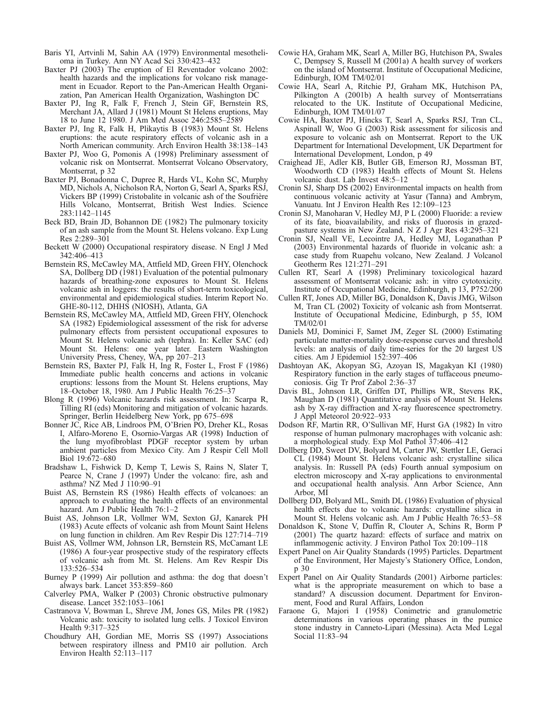- <span id="page-20-0"></span>Baris YI, Artvinli M, Sahin AA (1979) Environmental mesothelioma in Turkey. Ann NY Acad Sci 330:423–432
- Baxter PJ (2003) The eruption of El Reventador volcano 2002: health hazards and the implications for volcano risk management in Ecuador. Report to the Pan-American Health Organization, Pan American Health Organization, Washington DC
- Baxter PJ, Ing R, Falk F, French J, Stein GF, Bernstein RS, Merchant JA, Allard J (1981) Mount St Helens eruptions, May 18 to June 12 1980. J Am Med Assoc 246:2585–2589
- Baxter PJ, Ing R, Falk H, Plikaytis B (1983) Mount St. Helens eruptions: the acute respiratory effects of volcanic ash in a North American community. Arch Environ Health 38:138–143
- Baxter PJ, Woo G, Pomonis A (1998) Preliminary assessment of volcanic risk on Montserrat. Montserrat Volcano Observatory, Montserrat, p 32
- Baxter PJ, Bonadonna C, Dupree R, Hards VL, Kohn SC, Murphy MD, Nichols A, Nicholson RA, Norton G, Searl A, Sparks RSJ, Vickers BP (1999) Cristobalite in volcanic ash of the Soufrière Hills Volcano, Montserrat, British West Indies. Science 283:1142–1145
- Beck BD, Brain JD, Bohannon DE (1982) The pulmonary toxicity of an ash sample from the Mount St. Helens volcano. Exp Lung Res 2:289–301
- Beckett W (2000) Occupational respiratory disease. N Engl J Med 342:406–413
- Bernstein RS, McCawley MA, Attfield MD, Green FHY, Olenchock SA, Dollberg DD (1981) Evaluation of the potential pulmonary hazards of breathing-zone exposures to Mount St. Helens volcanic ash in loggers: the results of short-term toxicological, environmental and epidemiological studies. Interim Report No. GHE-80-112, DHHS (NIOSH), Atlanta, GA
- Bernstein RS, McCawley MA, Attfield MD, Green FHY, Olenchock SA (1982) Epidemiological assessment of the risk for adverse pulmonary effects from persistent occupational exposures to Mount St. Helens volcanic ash (tephra). In: Keller SAC (ed) Mount St. Helens: one year later. Eastern Washington University Press, Cheney, WA, pp 207–213
- Bernstein RS, Baxter PJ, Falk H, Ing R, Foster L, Frost F (1986) Immediate public health concerns and actions in volcanic eruptions: lessons from the Mount St. Helens eruptions, May 18–October 18, 1980. Am J Public Health 76:25–37
- Blong R (1996) Volcanic hazards risk assessment. In: Scarpa R, Tilling RI (eds) Monitoring and mitigation of volcanic hazards. Springer, Berlin Heidelberg New York, pp 675–698
- Bonner JC, Rice AB, Lindroos PM, O'Brien PO, Dreher KL, Rosas I, Alfaro-Moreno E, Osornio-Vargas AR (1998) Induction of the lung myofibroblast PDGF receptor system by urban ambient particles from Mexico City. Am J Respir Cell Moll Biol 19:672–680
- Bradshaw L, Fishwick D, Kemp T, Lewis S, Rains N, Slater T, Pearce N, Crane J (1997) Under the volcano: fire, ash and asthma? NZ Med J 110:90–91
- Buist AS, Bernstein RS (1986) Health effects of volcanoes: an approach to evaluating the health effects of an environmental hazard. Am J Public Health 76:1–2
- Buist AS, Johnson LR, Vollmer WM, Sexton GJ, Kanarek PH (1983) Acute effects of volcanic ash from Mount Saint Helens on lung function in children. Am Rev Respir Dis 127:714–719
- Buist AS, Vollmer WM, Johnson LR, Bernstein RS, McCamant LE (1986) A four-year prospective study of the respiratory effects of volcanic ash from Mt. St. Helens. Am Rev Respir Dis 133:526–534
- Burney P (1999) Air pollution and asthma: the dog that doesn't always bark. Lancet 353:859–860
- Calverley PMA, Walker P (2003) Chronic obstructive pulmonary disease. Lancet 352:1053–1061
- Castranova V, Bowman L, Shreve JM, Jones GS, Miles PR (1982) Volcanic ash: toxicity to isolated lung cells. J Toxicol Environ Health 9:317–325
- Choudhury AH, Gordian ME, Morris SS (1997) Associations between respiratory illness and PM10 air pollution. Arch Environ Health 52:113–117
- Cowie HA, Graham MK, Searl A, Miller BG, Hutchison PA, Swales C, Dempsey S, Russell M (2001a) A health survey of workers on the island of Montserrat. Institute of Occupational Medicine, Edinburgh, IOM TM/02/01
- Cowie HA, Searl A, Ritchie PJ, Graham MK, Hutchison PA, Pilkington A (2001b) A health survey of Montserratians relocated to the UK. Institute of Occupational Medicine, Edinburgh, IOM TM/01/07
- Cowie HA, Baxter PJ, Hincks T, Searl A, Sparks RSJ, Tran CL, Aspinall W, Woo G (2003) Risk assessment for silicosis and exposure to volcanic ash on Montserrat. Report to the UK Department for International Development, UK Department for International Development, London, p 49
- Craighead JE, Adler KB, Butler GB, Emerson RJ, Mossman BT, Woodworth CD (1983) Health effects of Mount St. Helens volcanic dust. Lab Invest 48:5–12
- Cronin SJ, Sharp DS (2002) Environmental impacts on health from continuous volcanic activity at Yasur (Tanna) and Ambrym, Vanuatu. Int J Environ Health Res 12:109–123
- Cronin SJ, Manoharan V, Hedley MJ, P L (2000) Fluoride: a review of its fate, bioavailability, and risks of fluorosis in grazedpasture systems in New Zealand. N Z J Agr Res 43:295–321
- Cronin SJ, Neall VE, Lecointre JA, Hedley MJ, Loganathan P (2003) Environmental hazards of fluoride in volcanic ash: a case study from Ruapehu volcano, New Zealand. J Volcanol Geotherm Res 121:271–291
- Cullen RT, Searl A (1998) Preliminary toxicological hazard assessment of Montserrat volcanic ash: in vitro cytotoxicity. Institute of Occupational Medicine, Edinburgh, p 13, P752/200
- Cullen RT, Jones AD, Miller BG, Donaldson K, Davis JMG, Wilson M, Tran CL (2002) Toxicity of volcanic ash from Montserrat. Institute of Occupational Medicine, Edinburgh, p 55, IOM TM/02/01
- Daniels MJ, Dominici F, Samet JM, Zeger SL (2000) Estimating particulate matter-mortality dose-response curves and threshold levels: an analysis of daily time-series for the 20 largest US cities. Am J Epidemiol 152:397–406
- Dashtoyan AK, Akopyan SG, Azoyan IS, Magakyan KI (1980) Respiratory function in the early stages of tuffaceous pneumoconiosis. Gig Tr Prof Zabol 2:36–37
- Davis BL, Johnson LR, Griffen DT, Phillips WR, Stevens RK, Maughan D (1981) Quantitative analysis of Mount St. Helens ash by X-ray diffraction and X-ray fluorescence spectrometry. J Appl Meteorol 20:922–933
- Dodson RF, Martin RR, O'Sullivan MF, Hurst GA (1982) In vitro response of human pulmonary macrophages with volcanic ash: a morphological study. Exp Mol Pathol 37:406–412
- Dollberg DD, Sweet DV, Bolyard M, Carter JW, Stettler LE, Geraci CL (1984) Mount St. Helens volcanic ash: crystalline silica analysis. In: Russell PA (eds) Fourth annual symposium on electron microscopy and X-ray applications to environmental and occupational health analysis. Ann Arbor Science, Ann Arbor, MI
- Dollberg DD, Bolyard ML, Smith DL (1986) Evaluation of physical health effects due to volcanic hazards: crystalline silica in Mount St. Helens volcanic ash. Am J Public Health 76:53–58
- Donaldson K, Stone V, Duffin R, Clouter A, Schins R, Borm P (2001) The quartz hazard: effects of surface and matrix on inflammogenic activity. J Environ Pathol Tox 20:109–118
- Expert Panel on Air Quality Standards (1995) Particles. Department of the Environment, Her Majesty's Stationery Office, London, p 30
- Expert Panel on Air Quality Standards (2001) Airborne particles: what is the appropriate measurement on which to base a standard? A discussion document. Department for Environment, Food and Rural Affairs, London
- Faraone G, Majori I (1958) Conimetric and granulometric determinations in various operating phases in the pumice stone industry in Canneto-Lipari (Messina). Acta Med Legal Social 11:83–94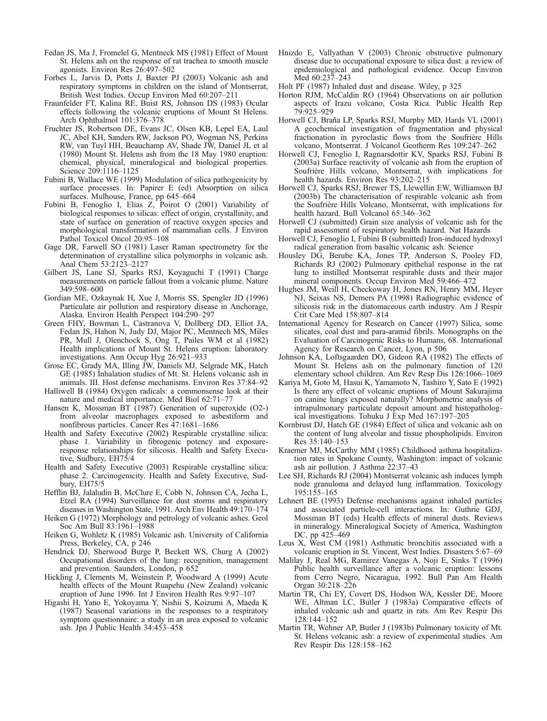- <span id="page-21-0"></span>Fedan JS, Ma J, Fromelel G, Mentneck MS (1981) Effect of Mount St. Helens ash on the response of rat trachea to smooth muscle agonists. Environ Res 26:497–502
- Forbes L, Jarvis D, Potts J, Baxter PJ (2003) Volcanic ash and respiratory symptoms in children on the island of Montserrat, British West Indies. Occup Environ Med 60:207–211
- Fraunfelder FT, Kalina RE, Buist RS, Johnson DS (1983) Ocular effects following the volcanic eruptions of Mount St Helens. Arch Ophthalmol 101:376–378
- Fruchter JS, Robertson DE, Evans JC, Olsen KB, Lepel EA, Laul JC, Abel KH, Sanders RW, Jackson PO, Wogman NS, Perkins RW, van Tuyl HH, Beauchamp AV, Shade JW, Daniel JL et al (1980) Mount St. Helens ash from the 18 May 1980 eruption: chemical, physical, mineralogical and biological properties. Science 209:1116–1125
- Fubini B, Wallace WE (1999) Modulation of silica pathogenicity by surface processes. In: Papirer E (ed) Absorption on silica surfaces. Mulhouse, France, pp 645–664
- Fubini B, Fenoglio I, Elias Z, Poirot O (2001) Variability of biological responses to silicas: effect of origin, crystallinity, and state of surface on generation of reactive oxygen species and morphological transformation of mammalian cells. J Environ Pathol Toxicol Oncol 20:95–108
- Gage DR, Farwell SO (1981) Laser Raman spectrometry for the determination of crystalline silica polymorphs in volcanic ash. Anal Chem 53:2123–2127
- Gilbert JS, Lane SJ, Sparks RSJ, Koyaguchi T (1991) Charge measurements on particle fallout from a volcanic plume. Nature 349:598–600
- Gordian ME, Ozkaynak H, Xue J, Morris SS, Spengler JD (1996) Particulate air pollution and respiratory disease in Anchorage, Alaska. Environ Health Perspect 104:290–297
- Green FHY, Bowman L, Castranova V, Dollberg DD, Elliot JA, Fedan JS, Hahon N, Judy DJ, Major PC, Mentnech MS, Miles PR, Mull J, Olenchock S, Ong T, Pailes WM et al (1982) Health implications of Mount St. Helens eruption: laboratory investigations. Ann Occup Hyg 26:921–933
- Grose EC, Grady MA, Illing JW, Daniels MJ, Selgrade MK, Hatch GE (1985) Inhalation studies of Mt. St. Helens volcanic ash in animals. III. Host defense mechanisms. Environ Res 37:84–92
- Halliwell B (1984) Oxygen radicals: a commonsense look at their nature and medical importance. Med Biol 62:71–77
- Hansen K, Mossman BT (1987) Generation of superoxide (O2-) from alveolar macrophages exposed to asbestiform and nonfibrous particles. Cancer Res 47:1681–1686
- Health and Safety Executive (2002) Respirable crystalline silica: phase 1. Variability in fibrogenic potency and exposureresponse relationships for silicosis. Health and Safety Executive, Sudbury, EH75/4
- Health and Safety Executive (2003) Respirable crystalline silica: phase 2. Carcinogenicity. Health and Safety Executive, Sudbury, EH75/5
- Hefflin BJ, Jalaludin B, McClure E, Cobb N, Johnson CA, Jecha L, Etzel RA (1994) Surveillance for dust storms and respiratory diseases in Washington State, 1991. Arch Env Health 49:170–174
- Heiken G (1972) Morphology and petrology of volcanic ashes. Geol Soc Am Bull 83:1961–1988
- Heiken G, Wohletz K (1985) Volcanic ash. University of California Press, Berkeley, CA, p 246
- Hendrick DJ, Sherwood Burge P, Beckett WS, Churg A (2002) Occupational disorders of the lung: recognition, management and prevention. Saunders, London, p 652
- Hickling J, Clements M, Weinstein P, Woodward A (1999) Acute health effects of the Mount Ruapehu (New Zealand) volcanic eruption of June 1996. Int J Environ Health Res 9:97–107
- Higashi H, Yano E, Yokoyama Y, Nishii S, Koizumi A, Maeda K (1987) Seasonal variations in the responses to a respiratory symptom questionnaire: a study in an area exposed to volcanic ash. Jpn J Public Health 34:453–458
- Hnizdo E, Vallyathan V (2003) Chronic obstructive pulmonary disease due to occupational exposure to silica dust: a review of epidemiological and pathological evidence. Occup Environ Med 60:237–243
- Holt PF (1987) Inhaled dust and disease. Wiley, p 325
- Horton RJM, McCaldin RO (1964) Observations on air pollution aspects of Irazu volcano, Costa Rica. Public Health Rep 79:925–929
- Horwell CJ, Braña LP, Sparks RSJ, Murphy MD, Hards VL (2001) A geochemical investigation of fragmentation and physical fractionation in pyroclastic flows from the Soufrière Hills volcano, Montserrat. J Volcanol Geotherm Res 109:247–262
- Horwell CJ, Fenoglio I, Ragnarsdottir KV, Sparks RSJ, Fubini B (2003a) Surface reactivity of volcanic ash from the eruption of Soufrière Hills volcano, Montserrat, with implications for health hazards. Environ Res 93:202–215
- Horwell CJ, Sparks RSJ, Brewer TS, Llewellin EW, Williamson BJ (2003b) The characterisation of respirable volcanic ash from the Soufrière Hills Volcano, Montserrat, with implications for health hazard. Bull Volcanol 65:346–362
- Horwell CJ (submitted) Grain size analysis of volcanic ash for the rapid assessment of respiratory health hazard. Nat Hazards
- Horwell CJ, Fenoglio I, Fubini B (submitted) Iron-induced hydroxyl radical generation from basaltic volcanic ash. Science
- Housley DG, Berube KA, Jones TP, Anderson S, Pooley FD, Richards RJ (2002) Pulmonary epithelial response in the rat lung to instilled Montserrat respirable dusts and their major mineral components. Occup Environ Med 59:466–472
- Hughes JM, Weill H, Checkoway H, Jones RN, Henry MM, Heyer NJ, Seixas NS, Demers PA (1998) Radiographic evidence of silicosis risk in the diatomaceous earth industry. Am J Respir Crit Care Med 158:807–814
- International Agency for Research on Cancer (1997) Silica, some silicates, coal dust and para-aramid fibrils. Monographs on the Evaluation of Carcinogenic Risks to Humans, 68. International Agency for Research on Cancer, Lyon, p 506
- Johnson KA, Loftsgaarden DO, Gideon RA (1982) The effects of Mount St. Helens ash on the pulmonary function of 120 elementary school children. Am Rev Resp Dis 126:1066–1069
- Kariya M, Goto M, Hasui K, Yamamoto N, Tashiro Y, Sato E (1992) Is there any effect of volcanic eruptions of Mount Sakurajima on canine lungs exposed naturally? Morphometric analysis of intrapulmonary particulate deposit amount and histopathological investigations. Tohuku J Exp Med 167:197–205
- Kornbrust DJ, Hatch GE (1984) Effect of silica and volcanic ash on the content of lung alveolar and tissue phospholipids. Environ Res 35:140–153
- Kraemer MJ, McCarthy MM (1985) Childhood asthma hospitalization rates in Spokane County, Washington: impact of volcanic ash air pollution. J Asthma 22:37–43
- Lee SH, Richards RJ (2004) Montserrat volcanic ash induces lymph node granuloma and delayed lung inflammation. Toxicology 195:155–165
- Lehnert BE (1993) Defense mechanisms against inhaled particles and associated particle-cell interactions. In: Guthrie GDJ, Mossman BT (eds) Health effects of mineral dusts. Reviews in mineralogy. Mineralogical Society of America, Washington DC, pp 425–469
- Leus X, West CM (1981) Asthmatic bronchitis associated with a volcanic eruption in St. Vincent, West Indies. Disasters 5:67–69
- Malilay J, Real MG, Ramirez Vanegas A, Noji E, Sinks T (1996) Public health surveillance after a volcanic eruption: lessons from Cerro Negro, Nicaragua, 1992. Bull Pan Am Health Organ 30:218–226
- Martin TR, Chi EY, Covert DS, Hodson WA, Kessler DE, Moore WE, Altman LC, Butler J (1983a) Comparative effects of inhaled volcanic ash and quartz in rats. Am Rev Respir Dis 128:144–152
- Martin TR, Wehner AP, Butler J (1983b) Pulmonary toxicity of Mt. St. Helens volcanic ash: a review of experimental studies. Am Rev Respir Dis 128:158–162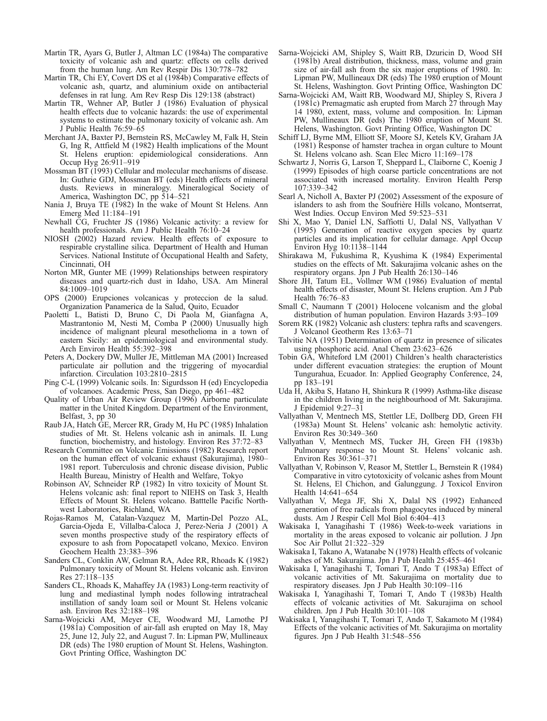- <span id="page-22-0"></span>Martin TR, Ayars G, Butler J, Altman LC (1984a) The comparative toxicity of volcanic ash and quartz: effects on cells derived from the human lung. Am Rev Respir Dis 130:778–782
- Martin TR, Chi EY, Covert DS et al (1984b) Comparative effects of volcanic ash, quartz, and aluminium oxide on antibacterial defenses in rat lung. Am Rev Resp Dis 129:138 (abstract)
- Martin TR, Wehner AP, Butler J (1986) Evaluation of physical health effects due to volcanic hazards: the use of experimental systems to estimate the pulmonary toxicity of volcanic ash. Am J Public Health 76:59–65
- Merchant JA, Baxter PJ, Bernstein RS, McCawley M, Falk H, Stein G, Ing R, Attfield M (1982) Health implications of the Mount St. Helens eruption: epidemiological considerations. Ann Occup Hyg 26:911–919
- Mossman BT (1993) Cellular and molecular mechanisms of disease. In: Guthrie GDJ, Mossman BT (eds) Health effects of mineral dusts. Reviews in mineralogy. Mineralogical Society of America, Washington DC, pp 514–521
- Nania J, Bruya TE (1982) In the wake of Mount St Helens. Ann Emerg Med 11:184–191
- Newhall CG, Fruchter JS (1986) Volcanic activity: a review for health professionals. Am J Public Health 76:10–24
- NIOSH (2002) Hazard review. Health effects of exposure to respirable crystalline silica. Department of Health and Human Services. National Institute of Occupational Health and Safety, Cincinnati, OH
- Norton MR, Gunter ME (1999) Relationships between respiratory diseases and quartz-rich dust in Idaho, USA. Am Mineral 84:1009–1019
- OPS (2000) Erupciones volcanicas y proteccion de la salud. Organization Panamerica de la Salud, Quito, Ecuador
- Paoletti L, Batisti D, Bruno C, Di Paola M, Gianfagna A, Mastrantonio M, Nesti M, Comba P (2000) Unusually high incidence of malignant pleural mesothelioma in a town of eastern Sicily: an epidemiological and environmental study. Arch Environ Health 55:392–398
- Peters A, Dockery DW, Muller JE, Mittleman MA (2001) Increased particulate air pollution and the triggering of myocardial infarction. Circulation 103:2810–2815
- Ping C-L (1999) Volcanic soils. In: Sigurdsson H (ed) Encyclopedia of volcanoes. Academic Press, San Diego, pp 461–482
- Quality of Urban Air Review Group (1996) Airborne particulate matter in the United Kingdom. Department of the Environment, Belfast, 3, pp 30
- Raub JA, Hatch GE, Mercer RR, Grady M, Hu PC (1985) Inhalation studies of Mt. St. Helens volcanic ash in animals. II. Lung function, biochemistry, and histology. Environ Res 37:72–83
- Research Committee on Volcanic Emissions (1982) Research report on the human effect of volcanic exhaust (Sakurajima), 1980– 1981 report. Tuberculosis and chronic disease division, Public Health Bureau, Ministry of Health and Welfare, Tokyo
- Robinson AV, Schneider RP (1982) In vitro toxicity of Mount St. Helens volcanic ash: final report to NIEHS on Task 3, Health Effects of Mount St. Helens volcano. Batttelle Pacific Northwest Laboratories, Richland, WA
- Rojas-Ramos M, Catalan-Vazquez M, Martin-Del Pozzo AL, Garcia-Ojeda E, Villalba-Caloca J, Perez-Neria J (2001) A seven months prospective study of the respiratory effects of exposure to ash from Popocatapetl volcano, Mexico. Environ Geochem Health 23:383–396
- Sanders CL, Conklin AW, Gelman RA, Adee RR, Rhoads K (1982) Pulmonary toxicity of Mount St. Helens volcanic ash. Environ Res 27:118–135
- Sanders CL, Rhoads K, Mahaffey JA (1983) Long-term reactivity of lung and mediastinal lymph nodes following intratracheal instillation of sandy loam soil or Mount St. Helens volcanic ash. Environ Res 32:188–198
- Sarna-Wojcicki AM, Meyer CE, Woodward MJ, Lamothe PJ (1981a) Composition of air-fall ash erupted on May 18, May 25, June 12, July 22, and August 7. In: Lipman PW, Mullineaux DR (eds) The 1980 eruption of Mount St. Helens, Washington. Govt Printing Office, Washington DC
- Sarna-Wojcicki AM, Shipley S, Waitt RB, Dzuricin D, Wood SH (1981b) Areal distribution, thickness, mass, volume and grain size of air-fall ash from the six major eruptions of 1980. In: Lipman PW, Mullineaux DR (eds) The 1980 eruption of Mount St. Helens, Washington. Govt Printing Office, Washington DC
- Sarna-Wojcicki AM, Waitt RB, Woodward MJ, Shipley S, Rivera J (1981c) Premagmatic ash erupted from March 27 through May 14 1980, extent, mass, volume and composition. In: Lipman PW, Mullineaux DR (eds) The 1980 eruption of Mount St. Helens, Washington. Govt Printing Office, Washington DC
- Schiff LJ, Byrne MM, Elliott SF, Moore SJ, Ketels KV, Graham JA (1981) Response of hamster trachea in organ culture to Mount St. Helens volcano ash. Scan Elec Micro 11:169–178
- Schwartz J, Norris G, Larson T, Sheppard L, Claiborne C, Koenig J (1999) Episodes of high coarse particle concentrations are not associated with increased mortality. Environ Health Persp 107:339–342
- Searl A, Nicholl A, Baxter PJ (2002) Assessment of the exposure of islanders to ash from the Soufrière Hills volcano, Montserrat, West Indies. Occup Environ Med 59:523–531
- Shi X, Mao Y, Daniel LN, Saffiotti U, Dalal NS, Vallyathan V (1995) Generation of reactive oxygen species by quartz particles and its implication for cellular damage. Appl Occup Environ Hyg 10:1138–1144
- Shirakawa M, Fukushima R, Kyushima K (1984) Experimental studies on the effects of Mt. Sakurajima volcanic ashes on the respiratory organs. Jpn J Pub Health 26:130–146
- Shore JH, Tatum EL, Vollmer WM (1986) Evaluation of mental health effects of disaster, Mount St. Helens eruption. Am J Pub Health 76:76–83
- Small C, Naumann T (2001) Holocene volcanism and the global distribution of human population. Environ Hazards 3:93–109
- Sorem RK (1982) Volcanic ash clusters: tephra rafts and scavengers. J Volcanol Geotherm Res 13:63–71
- Talvitie NA (1951) Determination of quartz in presence of silicates using phosphoric acid. Anal Chem 23:623–626
- Tobin GA, Whiteford LM (2001) Children's health characteristics under different evacuation strategies: the eruption of Mount Tungurahua, Ecuador. In: Applied Geography Conference, 24, pp 183–191
- Uda H, Akiba S, Hatano H, Shinkura R (1999) Asthma-like disease in the children living in the neighbourhood of Mt. Sakurajima. J Epidemiol 9:27–31
- Vallyathan V, Mentnech MS, Stettler LE, Dollberg DD, Green FH (1983a) Mount St. Helens' volcanic ash: hemolytic activity. Environ Res 30:349–360
- Vallyathan V, Mentnech MS, Tucker JH, Green FH (1983b) Pulmonary response to Mount St. Helens' volcanic ash. Environ Res 30:361–371
- Vallyathan V, Robinson V, Reasor M, Stettler L, Bernstein R (1984) Comparative in vitro cytotoxicity of volcanic ashes from Mount St. Helens, El Chichon, and Galunggung. J Toxicol Environ Health 14:641–654
- Vallyathan V, Mega JF, Shi X, Dalal NS (1992) Enhanced generation of free radicals from phagocytes induced by mineral dusts. Am J Respir Cell Mol Biol 6:404–413
- Wakisaka I, Yanagihashi T (1986) Week-to-week variations in mortality in the areas exposed to volcanic air pollution. J Jpn Soc Air Pollut 21:322–329
- Wakisaka I, Takano A, Watanabe N (1978) Health effects of volcanic ashes of Mt. Sakurajima. Jpn J Pub Health 25:455–461
- Wakisaka I, Yanagihashi T, Tomari T, Ando T (1983a) Effect of volcanic activities of Mt. Sakurajima on mortality due to respiratory diseases. Jpn J Pub Health 30:109–116
- Wakisaka I, Yanagihashi T, Tomari T, Ando T (1983b) Health effects of volcanic activities of Mt. Sakurajima on school children. Jpn J Pub Health 30:101–108
- Wakisaka I, Yanagihashi T, Tomari T, Ando T, Sakamoto M (1984) Effects of the volcanic activities of Mt. Sakurajima on mortality figures. Jpn J Pub Health 31:548–556